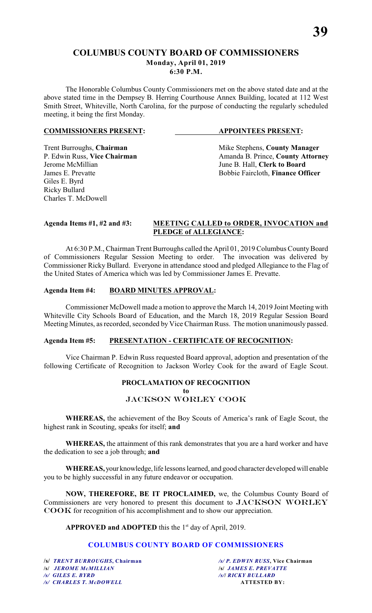### **COLUMBUS COUNTY BOARD OF COMMISSIONERS Monday, April 01, 2019 6:30 P.M.**

The Honorable Columbus County Commissioners met on the above stated date and at the above stated time in the Dempsey B. Herring Courthouse Annex Building, located at 112 West Smith Street, Whiteville, North Carolina, for the purpose of conducting the regularly scheduled meeting, it being the first Monday.

#### **COMMISSIONERS PRESENT: APPOINTEES PRESENT:**

Giles E. Byrd Ricky Bullard Charles T. McDowell

Trent Burroughs, **Chairman** Mike Stephens, **County Manager** P. Edwin Russ, Vice Chairman Manager Amanda B. Prince, **County Attorn** P. Edwin Russ, **Vice Chairman** Amanda B. Prince, **County Attorney**<br>Jerome McMillian June B. Hall. Clerk to Board June B. Hall, **Clerk to Board** James E. Prevatte **Bobbie Faircloth**, **Finance Officer** 

#### **Agenda Items #1, #2 and #3: MEETING CALLED to ORDER, INVOCATION and PLEDGE of ALLEGIANCE:**

At 6:30 P.M., Chairman Trent Burroughs called the April 01, 2019 Columbus County Board of Commissioners Regular Session Meeting to order. The invocation was delivered by Commissioner Ricky Bullard. Everyone in attendance stood and pledged Allegiance to the Flag of the United States of America which was led by Commissioner James E. Prevatte.

#### **Agenda Item #4: BOARD MINUTES APPROVAL:**

Commissioner McDowell made a motion to approve the March 14, 2019 Joint Meeting with Whiteville City Schools Board of Education, and the March 18, 2019 Regular Session Board Meeting Minutes, as recorded, seconded by Vice Chairman Russ. The motion unanimously passed.

#### **Agenda Item #5: PRESENTATION - CERTIFICATE OF RECOGNITION:**

Vice Chairman P. Edwin Russ requested Board approval, adoption and presentation of the following Certificate of Recognition to Jackson Worley Cook for the award of Eagle Scout.

#### **PROCLAMATION OF RECOGNITION to** *JACKSON WORLEY COOK*

**WHEREAS,** the achievement of the Boy Scouts of America's rank of Eagle Scout, the highest rank in Scouting, speaks for itself; **and**

**WHEREAS,** the attainment of this rank demonstrates that you are a hard worker and have the dedication to see a job through; **and**

**WHEREAS,** your knowledge, life lessons learned, and good character developed will enable you to be highly successful in any future endeavor or occupation.

**NOW, THEREFORE, BE IT PROCLAIMED,** we, the Columbus County Board of Commissioners are very honored to present this document to *JACKSON WORLEY COOK* for recognition of his accomplishment and to show our appreciation.

**APPROVED and ADOPTED** this the  $1<sup>st</sup>$  day of April, 2019.

### **COLUMBUS COUNTY BOARD OF COMMISSIONERS**

*/s/ GILES E. BYRD**/s/***/** *RICKY BULLARD /s/ CHARLES T. McDOWELL* **ATTESTED BY:**

**/s/** *TRENT BURROUGHS***, Chairman** */s/ P. EDWIN RUSS***, Vice Chairman /s/** *JEROME McMILLIAN* **/s/** *JAMES E. PREVATTE*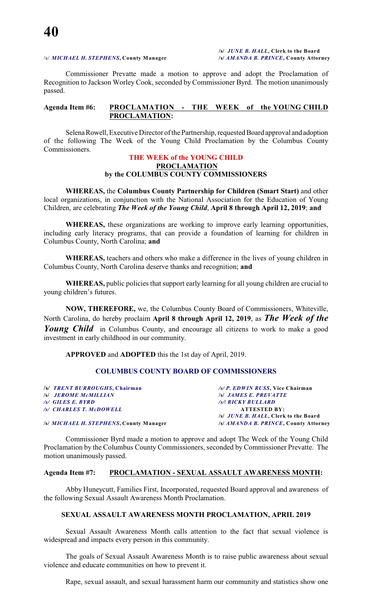#### /s/ *MICHAEL H. STEPHENS***, County Manager /s/** *AMANDA B. PRINCE***, County Attorney**

**/s/** *JUNE B. HALL***, Clerk to the Board**

Commissioner Prevatte made a motion to approve and adopt the Proclamation of Recognition to Jackson Worley Cook, seconded by Commissioner Byrd. The motion unanimously passed.

#### **Agenda Item #6: PROCLAMATION - THE WEEK of the YOUNG CHILD PROCLAMATION:**

Selena Rowell, Executive Director of the Partnership, requested Board approval and adoption of the following The Week of the Young Child Proclamation by the Columbus County Commissioners.

#### **THE WEEK of the YOUNG CHILD PROCLAMATION by the COLUMBUS COUNTY COMMISSIONERS**

**WHEREAS,** the **Columbus County Partnership for Children (Smart Start)** and other local organizations, in conjunction with the National Association for the Education of Young Children, are celebrating *The Week of the Young Child*, **April 8 through April 12, 2019**; **and**

**WHEREAS,** these organizations are working to improve early learning opportunities, including early literacy programs, that can provide a foundation of learning for children in Columbus County, North Carolina; **and**

**WHEREAS,** teachers and others who make a difference in the lives of young children in Columbus County, North Carolina deserve thanks and recognition; **and**

**WHEREAS,** public policies that support early learning for all young children are crucial to young children's futures.

**NOW, THEREFORE,** we, the Columbus County Board of Commissioners, Whiteville, North Carolina, do hereby proclaim **April 8 through April 12, 2019**, as *The Week of the Young Child* in Columbus County, and encourage all citizens to work to make a good investment in early childhood in our community.

**APPROVED** and **ADOPTED** this the 1st day of April, 2019.

#### **COLUMBUS COUNTY BOARD OF COMMISSIONERS**

| /s/ TRENT BURROUGHS, Chairman           | /s/P. EDWIN RUSS, Vice Chairman       |
|-----------------------------------------|---------------------------------------|
|                                         |                                       |
| <b>S JEROME MCMILLIAN</b>               | <b>S JAMES E. PREVATTE</b>            |
| /s/ GILES E. BYRD                       | <b>/s/  RICKY BULLARD</b>             |
| /s/ CHARLES T. McDOWELL                 | <b>ATTESTED BY:</b>                   |
|                                         | /s/ JUNE B. HALL, Clerk to the Board  |
| /s/ MICHAEL H. STEPHENS, County Manager | /s/ AMANDA B. PRINCE, County Attorney |

Commissioner Byrd made a motion to approve and adopt The Week of the Young Child Proclamation by the Columbus County Commissioners, seconded by Commissioner Prevatte. The motion unanimously passed.

#### **Agenda Item #7: PROCLAMATION - SEXUAL ASSAULT AWARENESS MONTH:**

Abby Huneycutt, Families First, Incorporated, requested Board approval and awareness of the following Sexual Assault Awareness Month Proclamation.

#### **SEXUAL ASSAULT AWARENESS MONTH PROCLAMATION, APRIL 2019**

Sexual Assault Awareness Month calls attention to the fact that sexual violence is widespread and impacts every person in this community.

The goals of Sexual Assault Awareness Month is to raise public awareness about sexual violence and educate communities on how to prevent it.

Rape, sexual assault, and sexual harassment harm our community and statistics show one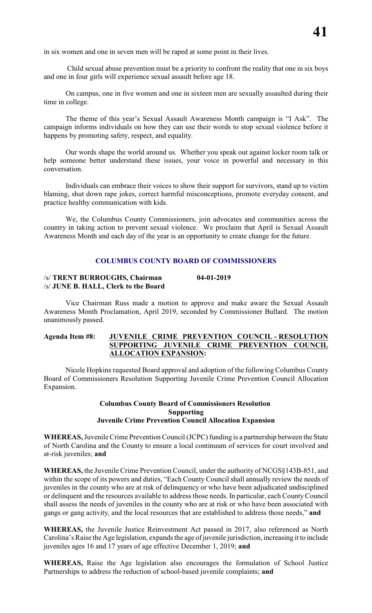in six women and one in seven men will be raped at some point in their lives.

 Child sexual abuse prevention must be a priority to confront the reality that one in six boys and one in four girls will experience sexual assault before age 18.

On campus, one in five women and one in sixteen men are sexually assaulted during their time in college.

The theme of this year's Sexual Assault Awareness Month campaign is "I Ask". The campaign informs individuals on how they can use their words to stop sexual violence before it happens by promoting safety, respect, and equality.

Our words shape the world around us. Whether you speak out against locker room talk or help someone better understand these issues, your voice in powerful and necessary in this conversation.

Individuals can embrace their voices to show their support for survivors, stand up to victim blaming, shut down rape jokes, correct harmful misconceptions, promote everyday consent, and practice healthy communication with kids.

We, the Columbus County Commissioners, join advocates and communities across the country in taking action to prevent sexual violence. We proclaim that April is Sexual Assault Awareness Month and each day of the year is an opportunity to create change for the future.

#### **COLUMBUS COUNTY BOARD OF COMMISSIONERS**

#### /s/ **TRENT BURROUGHS, Chairman 04-01-2019** /s/ **JUNE B. HALL, Clerk to the Board**

Vice Chairman Russ made a motion to approve and make aware the Sexual Assault Awareness Month Proclamation, April 2019, seconded by Commissioner Bullard. The motion unanimously passed.

#### **Agenda Item #8: JUVENILE CRIME PREVENTION COUNCIL - RESOLUTION SUPPORTING JUVENILE CRIME PREVENTION COUNCIL ALLOCATION EXPANSION:**

Nicole Hopkins requested Board approval and adoption of the following Columbus County Board of Commissioners Resolution Supporting Juvenile Crime Prevention Council Allocation Expansion.

#### **Columbus County Board of Commissioners Resolution Supporting Juvenile Crime Prevention Council Allocation Expansion**

**WHEREAS,** Juvenile Crime Prevention Council (JCPC) funding is a partnership between the State of North Carolina and the County to ensure a local continuum of services for court involved and at-risk juveniles; **and**

**WHEREAS,** the Juvenile Crime Prevention Council, under the authority of NCGS§143B-851, and within the scope of its powers and duties, "Each County Council shall annually review the needs of juveniles in the county who are at risk of delinquency or who have been adjudicated undisciplined or delinquent and the resources available to address those needs. In particular, each County Council shall assess the needs of juveniles in the county who are at risk or who have been associated with gangs or gang activity, and the local resources that are established to address those needs," **and**

**WHEREAS,** the Juvenile Justice Reinvestment Act passed in 2017, also referenced as North Carolina's Raise the Age legislation, expands the age of juvenile jurisdiction, increasing it to include juveniles ages 16 and 17 years of age effective December 1, 2019; **and**

**WHEREAS,** Raise the Age legislation also encourages the formulation of School Justice Partnerships to address the reduction of school-based juvenile complaints; **and**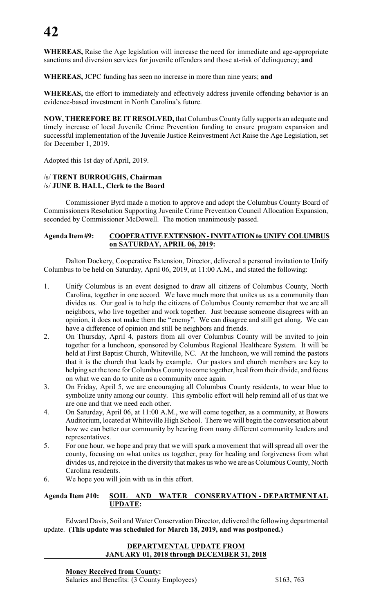**WHEREAS,** Raise the Age legislation will increase the need for immediate and age-appropriate sanctions and diversion services for juvenile offenders and those at-risk of delinquency; **and**

**WHEREAS,** JCPC funding has seen no increase in more than nine years; **and**

**WHEREAS,** the effort to immediately and effectively address juvenile offending behavior is an evidence-based investment in North Carolina's future.

**NOW, THEREFORE BE IT RESOLVED,** that Columbus County fully supports an adequate and timely increase of local Juvenile Crime Prevention funding to ensure program expansion and successful implementation of the Juvenile Justice Reinvestment Act Raise the Age Legislation, set for December 1, 2019.

Adopted this 1st day of April, 2019.

#### /s/ **TRENT BURROUGHS, Chairman** /s/ **JUNE B. HALL, Clerk to the Board**

Commissioner Byrd made a motion to approve and adopt the Columbus County Board of Commissioners Resolution Supporting Juvenile Crime Prevention Council Allocation Expansion, seconded by Commissioner McDowell. The motion unanimously passed.

#### **Agenda Item #9: COOPERATIVE EXTENSION - INVITATION to UNIFY COLUMBUS on SATURDAY, APRIL 06, 2019:**

Dalton Dockery, Cooperative Extension, Director, delivered a personal invitation to Unify Columbus to be held on Saturday, April 06, 2019, at 11:00 A.M., and stated the following:

- 1. Unify Columbus is an event designed to draw all citizens of Columbus County, North Carolina, together in one accord. We have much more that unites us as a community than divides us. Our goal is to help the citizens of Columbus County remember that we are all neighbors, who live together and work together. Just because someone disagrees with an opinion, it does not make them the "enemy". We can disagree and still get along. We can have a difference of opinion and still be neighbors and friends.
- 2. On Thursday, April 4, pastors from all over Columbus County will be invited to join together for a luncheon, sponsored by Columbus Regional Healthcare System. It will be held at First Baptist Church, Whiteville, NC. At the luncheon, we will remind the pastors that it is the church that leads by example. Our pastors and church members are key to helping set the tone for Columbus County to come together, heal from their divide, and focus on what we can do to unite as a community once again.
- 3. On Friday, April 5, we are encouraging all Columbus County residents, to wear blue to symbolize unity among our county. This symbolic effort will help remind all of us that we are one and that we need each other.
- 4. On Saturday, April 06, at 11:00 A.M., we will come together, as a community, at Bowers Auditorium, located at Whiteville High School. There we will begin the conversation about how we can better our community by hearing from many different community leaders and representatives.
- 5. For one hour, we hope and pray that we will spark a movement that will spread all over the county, focusing on what unites us together, pray for healing and forgiveness from what divides us, and rejoice in the diversity that makes us who we are as Columbus County, North Carolina residents.
- 6. We hope you will join with us in this effort.

### **Agenda Item #10: SOIL AND WATER CONSERVATION - DEPARTMENTAL UPDATE:**

Edward Davis, Soil and Water Conservation Director, delivered the following departmental update. **(This update was scheduled for March 18, 2019, and was postponed.)**

#### **DEPARTMENTAL UPDATE FROM JANUARY 01, 2018 through DECEMBER 31, 2018**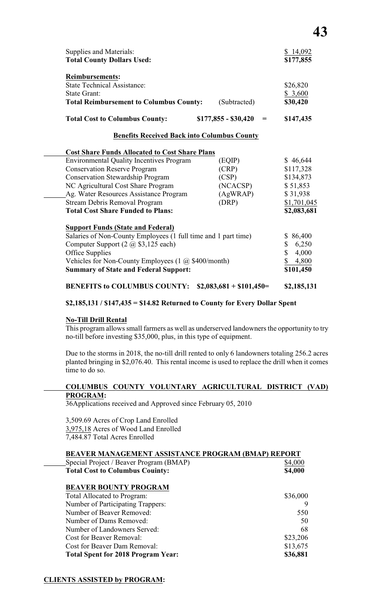| <b>Supplies and Materials:</b><br><b>Total County Dollars Used:</b>                                                                   |                             | \$14,092<br>\$177,855           |
|---------------------------------------------------------------------------------------------------------------------------------------|-----------------------------|---------------------------------|
| <b>Reimbursements:</b><br><b>State Technical Assistance:</b><br><b>State Grant:</b><br><b>Total Reimbursement to Columbus County:</b> | (Subtracted)                | \$26,820<br>\$3,600<br>\$30,420 |
| <b>Total Cost to Columbus County:</b>                                                                                                 | $$177,855 - $30,420$<br>$=$ | \$147,435                       |
| <b>Benefits Received Back into Columbus County</b>                                                                                    |                             |                                 |
| <b>Cost Share Funds Allocated to Cost Share Plans</b>                                                                                 |                             |                                 |
| <b>Environmental Quality Incentives Program</b>                                                                                       | (EQIP)                      | \$46,644                        |
| <b>Conservation Reserve Program</b>                                                                                                   | (CRP)                       | \$117,328                       |
| <b>Conservation Stewardship Program</b>                                                                                               | (CSP)                       | \$134,873                       |
| NC Agricultural Cost Share Program                                                                                                    | (NCACSP)                    | \$51,853                        |
| Ag. Water Resources Assistance Program                                                                                                | (AgWRAP)                    | \$31,938                        |
| Stream Debris Removal Program                                                                                                         | (DRP)                       | \$1,701,045                     |
| <b>Total Cost Share Funded to Plans:</b>                                                                                              |                             | \$2,083,681                     |
|                                                                                                                                       |                             |                                 |
| <b>Support Funds (State and Federal)</b>                                                                                              |                             |                                 |
| Salaries of Non-County Employees (1 full time and 1 part time)                                                                        |                             | \$86,400                        |
| Computer Support $(2 \text{ } @$ \$3,125 each)                                                                                        |                             | 6,250<br>\$                     |
| Office Supplies                                                                                                                       |                             | \$<br>4,000                     |
| Vehicles for Non-County Employees $(1 \text{ (a) $400/month})$                                                                        |                             | 4,800<br>\$101,450              |
| <b>Summary of State and Federal Support:</b>                                                                                          |                             |                                 |
| <b>BENEFITS to COLUMBUS COUNTY:</b>                                                                                                   | $$2,083,681 + $101,450 =$   | \$2,185,131                     |

### **\$2,185,131 / \$147,435 = \$14.82 Returned to County for Every Dollar Spent**

#### **No-Till Drill Rental**

This program allows small farmers as well as underserved landowners the opportunity to try no-till before investing \$35,000, plus, in this type of equipment.

Due to the storms in 2018, the no-till drill rented to only 6 landowners totaling 256.2 acres planted bringing in \$2,076.40. This rental income is used to replace the drill when it comes time to do so.

#### **COLUMBUS COUNTY VOLUNTARY AGRICULTURAL DISTRICT (VAD) PROGRAM:**

36Applications received and Approved since February 05, 2010

3,509.69 Acres of Crop Land Enrolled 3,975,18 Acres of Wood Land Enrolled 7,484.87 Total Acres Enrolled

#### **BEAVER MANAGEMENT ASSISTANCE PROGRAM (BMAP) REPORT**

| Special Project / Beaver Program (BMAP)   | \$4,000  |
|-------------------------------------------|----------|
| <b>Total Cost to Columbus Couinty:</b>    | \$4,000  |
| <b>BEAVER BOUNTY PROGRAM</b>              |          |
| Total Allocated to Program:               | \$36,000 |
| Number of Participating Trappers:         | 9        |
| Number of Beaver Removed:                 | 550      |
| Number of Dams Removed:                   | 50       |
| Number of Landowners Served:              | 68       |
| Cost for Beaver Removal:                  | \$23,206 |
| Cost for Beaver Dam Removal:              | \$13,675 |
| <b>Total Spent for 2018 Program Year:</b> | \$36,881 |

#### **CLIENTS ASSISTED by PROGRAM:**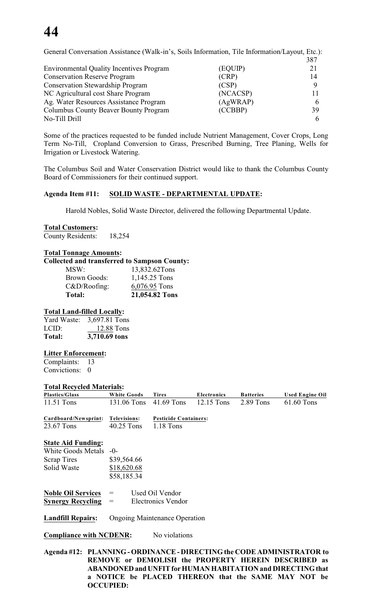| General Conversation Assistance (Walk-in's, Soils Information, Tile Information/Layout, Etc.): |          |     |  |
|------------------------------------------------------------------------------------------------|----------|-----|--|
|                                                                                                |          | 387 |  |
| <b>Environmental Quality Incentives Program</b>                                                | (EQUIP)  | 21  |  |
| <b>Conservation Reserve Program</b>                                                            | (CRP)    | 14  |  |
| <b>Conservation Stewardship Program</b>                                                        | (CSP)    | Q   |  |
| NC Agricultural cost Share Program                                                             | (NCACSP) |     |  |
| Ag. Water Resources Assistance Program                                                         | (AgWRAP) |     |  |
| Columbus County Beaver Bounty Program                                                          | (CCBBP)  | 39  |  |
| No-Till Drill                                                                                  |          |     |  |

Some of the practices requested to be funded include Nutrient Management, Cover Crops, Long Term No-Till, Cropland Conversion to Grass, Prescribed Burning, Tree Planing, Wells for Irrigation or Livestock Watering.

The Columbus Soil and Water Conservation District would like to thank the Columbus County Board of Commissioners for their continued support.

#### **Agenda Item #11: SOLID WASTE - DEPARTMENTAL UPDATE:**

Harold Nobles, Solid Waste Director, delivered the following Departmental Update.

#### **Total Customers:**

County Residents: 18,254

#### **Total Tonnage Amounts:**

#### **Collected and transferred to Sampson County:**

| Brown Goods:    | 1,145.25 Tons  |
|-----------------|----------------|
| $C&D/Roofing$ : | 6,076.95 Tons  |
| Total:          | 21,054.82 Tons |

#### **Total Land-filled Locally:**

| Yard Waste: | 3,697.81 Tons |
|-------------|---------------|
| LCID:       | 12.88 Tons    |
| Total:      | 3,710.69 tons |

#### **Litter Enforcement:**

Complaints: 13 Convictions: 0

#### **Total Recycled Materials:**

| <b>Plastics/Glass</b> | <b>White Goods</b> | <b>Tires</b>                 | <b>Electronics</b> | <b>Batteries</b> | Used Engine Oil |
|-----------------------|--------------------|------------------------------|--------------------|------------------|-----------------|
| $11.51$ Tons          | 131.06 Tons        | 41.69 Tons                   | 12.15 Tons         | $2.89$ Tons      | 61.60 Tons      |
| Cardboard/Newsprint:  | Televisions:       | <b>Pesticide Containers:</b> |                    |                  |                 |

23.67 Tons 40.25 Tons 1.18 Tons

#### **State Aid Funding:**

| White Goods Metals -0- |             |
|------------------------|-------------|
| <b>Scrap Tires</b>     | \$39,564.66 |
| Solid Waste            | \$18,620.68 |
|                        | \$58,185.34 |

| <b>Noble Oil Services</b> | $=$ | Used Oil Vendor    |  |  |
|---------------------------|-----|--------------------|--|--|
| <b>Synergy Recycling</b>  | $=$ | Electronics Vendor |  |  |

#### **Landfill Repairs:** Ongoing Maintenance Operation

**Compliance with NCDENR:** No violations

**Agenda #12: PLANNING - ORDINANCE - DIRECTING the CODE ADMINISTRATOR to REMOVE or DEMOLISH the PROPERTY HEREIN DESCRIBED as ABANDONED and UNFIT for HUMAN HABITATION and DIRECTING that a NOTICE be PLACED THEREON that the SAME MAY NOT be OCCUPIED:**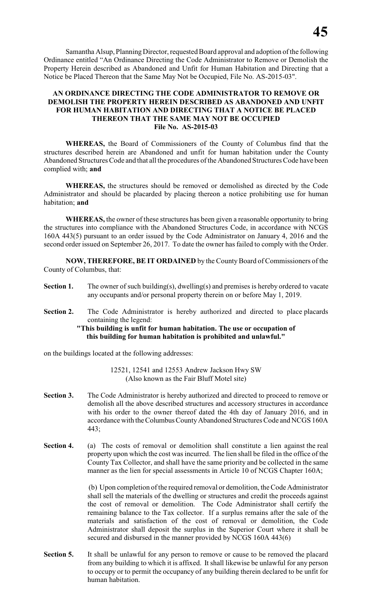Samantha Alsup, Planning Director, requested Board approval and adoption of the following Ordinance entitled "An Ordinance Directing the Code Administrator to Remove or Demolish the Property Herein described as Abandoned and Unfit for Human Habitation and Directing that a Notice be Placed Thereon that the Same May Not be Occupied, File No. AS-2015-03".

#### **AN ORDINANCE DIRECTING THE CODE ADMINISTRATOR TO REMOVE OR DEMOLISH THE PROPERTY HEREIN DESCRIBED AS ABANDONED AND UNFIT FOR HUMAN HABITATION AND DIRECTING THAT A NOTICE BE PLACED THEREON THAT THE SAME MAY NOT BE OCCUPIED File No. AS-2015-03**

**WHEREAS,** the Board of Commissioners of the County of Columbus find that the structures described herein are Abandoned and unfit for human habitation under the County Abandoned Structures Code and that all the procedures of the Abandoned Structures Code have been complied with; **and**

**WHEREAS,** the structures should be removed or demolished as directed by the Code Administrator and should be placarded by placing thereon a notice prohibiting use for human habitation; **and**

**WHEREAS,** the owner of these structures has been given a reasonable opportunity to bring the structures into compliance with the Abandoned Structures Code, in accordance with NCGS 160A 443(5) pursuant to an order issued by the Code Administrator on January 4, 2016 and the second order issued on September 26, 2017. To date the owner has failed to comply with the Order.

**NOW, THEREFORE, BE IT ORDAINED** by the County Board of Commissioners of the County of Columbus, that:

- **Section 1.** The owner of such building(s), dwelling(s) and premises is hereby ordered to vacate any occupants and/or personal property therein on or before May 1, 2019.
- **Section 2.** The Code Administrator is hereby authorized and directed to place placards containing the legend:

#### **"This building is unfit for human habitation. The use or occupation of this building for human habitation is prohibited and unlawful."**

on the buildings located at the following addresses:

12521, 12541 and 12553 Andrew Jackson Hwy SW (Also known as the Fair Bluff Motel site)

- **Section 3.** The Code Administrator is hereby authorized and directed to proceed to remove or demolish all the above described structures and accessory structures in accordance with his order to the owner thereof dated the 4th day of January 2016, and in accordance with the Columbus County Abandoned Structures Code and NCGS 160A 443;
- **Section 4.** (a) The costs of removal or demolition shall constitute a lien against the real property upon which the cost was incurred. The lien shall be filed in the office of the County Tax Collector, and shall have the same priority and be collected in the same manner as the lien for special assessments in Article 10 of NCGS Chapter 160A;

 (b) Upon completion of the required removal or demolition, the Code Administrator shall sell the materials of the dwelling or structures and credit the proceeds against the cost of removal or demolition. The Code Administrator shall certify the remaining balance to the Tax collector. If a surplus remains after the sale of the materials and satisfaction of the cost of removal or demolition, the Code Administrator shall deposit the surplus in the Superior Court where it shall be secured and disbursed in the manner provided by NCGS 160A 443(6)

**Section 5.** It shall be unlawful for any person to remove or cause to be removed the placard from any building to which it is affixed. It shall likewise be unlawful for any person to occupy or to permit the occupancy of any building therein declared to be unfit for human habitation.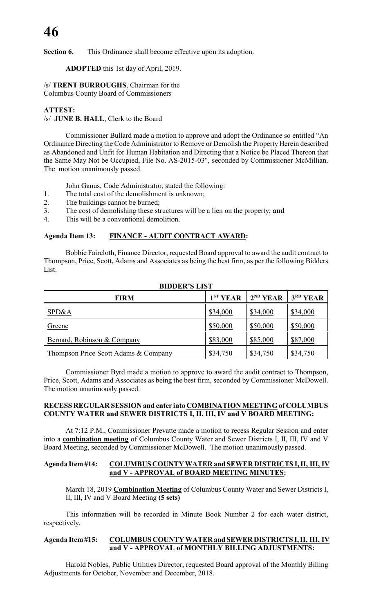**Section 6.** This Ordinance shall become effective upon its adoption.

**ADOPTED** this 1st day of April, 2019.

/s/ **TRENT BURROUGHS**, Chairman for the Columbus County Board of Commissioners

#### **ATTEST:**

/s/ **JUNE B. HALL**, Clerk to the Board

Commissioner Bullard made a motion to approve and adopt the Ordinance so entitled "An Ordinance Directing the Code Administrator to Remove or Demolish the Property Herein described as Abandoned and Unfit for Human Habitation and Directing that a Notice be Placed Thereon that the Same May Not be Occupied, File No. AS-2015-03", seconded by Commissioner McMillian. The motion unanimously passed.

John Ganus, Code Administrator, stated the following:

- 1. The total cost of the demolishment is unknown;
- 2. The buildings cannot be burned;
- 3. The cost of demolishing these structures will be a lien on the property; **and**
- 4. This will be a conventional demolition.

#### **Agenda Item 13: FINANCE - AUDIT CONTRACT AWARD:**

Bobbie Faircloth, Finance Director, requested Board approval to award the audit contract to Thompson, Price, Scott, Adams and Associates as being the best firm, as per the following Bidders List.

| <b>FIRM</b>                          | 1 <sup>ST</sup> <b>YEAR</b> | $2^{ND}$ YEAR | $3RD$ YEAR |
|--------------------------------------|-----------------------------|---------------|------------|
| SPD&A                                | \$34,000                    | \$34,000      | \$34,000   |
| Greene                               | \$50,000                    | \$50,000      | \$50,000   |
| Bernard, Robinson & Company          | \$83,000                    | \$85,000      | \$87,000   |
| Thompson Price Scott Adams & Company | \$34,750                    | \$34,750      | \$34,750   |

#### **BIDDER'S LIST**

Commissioner Byrd made a motion to approve to award the audit contract to Thompson, Price, Scott, Adams and Associates as being the best firm, seconded by Commissioner McDowell. The motion unanimously passed.

#### **RECESS REGULAR SESSION and enter into COMBINATION MEETING of COLUMBUS COUNTY WATER and SEWER DISTRICTS I, II, III, IV and V BOARD MEETING:**

At 7:12 P.M., Commissioner Prevatte made a motion to recess Regular Session and enter into a **combination meeting** of Columbus County Water and Sewer Districts I, II, III, IV and V Board Meeting, seconded by Commissioner McDowell. The motion unanimously passed.

#### **Agenda Item #14: COLUMBUS COUNTY WATER and SEWER DISTRICTS I, II, III, IV and V - APPROVAL of BOARD MEETING MINUTES:**

March 18, 2019 **Combination Meeting** of Columbus County Water and Sewer Districts I, II, III, IV and V Board Meeting **(5 sets)**

This information will be recorded in Minute Book Number 2 for each water district, respectively.

#### **Agenda Item #15: COLUMBUS COUNTY WATER and SEWER DISTRICTS I, II, III, IV and V - APPROVAL of MONTHLY BILLING ADJUSTMENTS:**

Harold Nobles, Public Utilities Director, requested Board approval of the Monthly Billing Adjustments for October, November and December, 2018.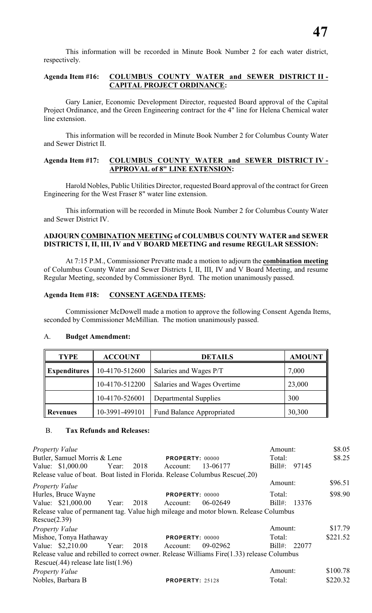This information will be recorded in Minute Book Number 2 for each water district, respectively.

#### **Agenda Item #16: COLUMBUS COUNTY WATER and SEWER DISTRICT II - CAPITAL PROJECT ORDINANCE:**

Gary Lanier, Economic Development Director, requested Board approval of the Capital Project Ordinance, and the Green Engineering contract for the 4" line for Helena Chemical water line extension.

This information will be recorded in Minute Book Number 2 for Columbus County Water and Sewer District II.

#### **Agenda Item #17: COLUMBUS COUNTY WATER and SEWER DISTRICT IV - APPROVAL of 8" LINE EXTENSION:**

Harold Nobles, Public Utilities Director, requested Board approval of the contract for Green Engineering for the West Fraser 8" water line extension.

This information will be recorded in Minute Book Number 2 for Columbus County Water and Sewer District IV.

#### **ADJOURN COMBINATION MEETING of COLUMBUS COUNTY WATER and SEWER DISTRICTS I, II, III, IV and V BOARD MEETING and resume REGULAR SESSION:**

At 7:15 P.M., Commissioner Prevatte made a motion to adjourn the **combination meeting** of Columbus County Water and Sewer Districts I, II, III, IV and V Board Meeting, and resume Regular Meeting, seconded by Commissioner Byrd. The motion unanimously passed.

#### **Agenda Item #18: CONSENT AGENDA ITEMS:**

Commissioner McDowell made a motion to approve the following Consent Agenda Items, seconded by Commissioner McMillian. The motion unanimously passed.

#### A. **Budget Amendment:**

| <b>TYPE</b>         | <b>ACCOUNT</b> | <b>DETAILS</b>                   | <b>AMOUNT</b> |
|---------------------|----------------|----------------------------------|---------------|
| <b>Expenditures</b> | 10-4170-512600 | Salaries and Wages P/T           | 7,000         |
|                     | 10-4170-512200 | Salaries and Wages Overtime      | 23,000        |
|                     | 10-4170-526001 | <b>Departmental Supplies</b>     | 300           |
| Revenues            | 10-3991-499101 | <b>Fund Balance Appropriated</b> | 30,300        |

#### B. **Tax Refunds and Releases:**

*Property Value* \$8.05 Butler, Samuel Morris & Lene **PROPERTY:** 00000 Total: \$8.25 Value: \$1,000.00 Year: 2018 Account: 13-06177 Bill#: 97145 Release value of boat. Boat listed in Florida. Release Columbus Rescue(.20) *Property Value* \$96.51 Hurles, Bruce Wayne **PROPERTY**: 00000 Total: \$98.90 Value: \$21,000.00 Year: 2018 Account: 06-02649 Bill#: 13376 Release value of permanent tag. Value high mileage and motor blown. Release Columbus Rescue(2.39) *Property Value* \$17.79 Mishoe, Tonya Hathaway **PROPERTY:** 00000 Total: \$221.52 Value: \$2,210.00 Year: 2018 Account: 09-02962 Bill#: 22077 Release value and rebilled to correct owner. Release Williams Fire(1.33) release Columbus Rescue(.44) release late list(1.96) *Property Value* \$100.78 Nobles, Barbara B **PROPERTY**: 25128 Total: \$220.32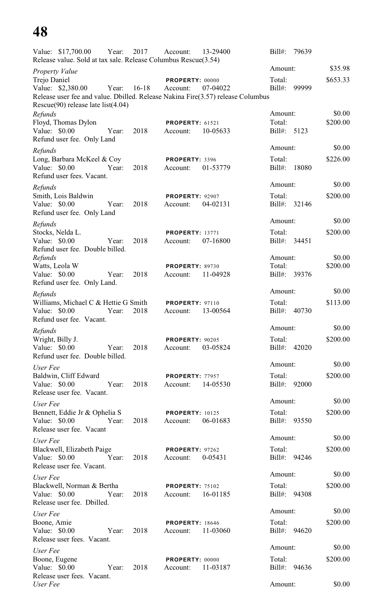| Value: \$17,700.00                                                                                                          | Year: | 2017    | Account:               | 13-29400 | $Bill#$ :           | 79639 |                    |
|-----------------------------------------------------------------------------------------------------------------------------|-------|---------|------------------------|----------|---------------------|-------|--------------------|
| Release value. Sold at tax sale. Release Columbus Rescue(3.54)                                                              |       |         |                        |          | Amount:             |       | \$35.98            |
| <b>Property Value</b>                                                                                                       |       |         | PROPERTY: 00000        |          | Total:              |       | \$653.33           |
| Trejo Daniel<br>Value: \$2,380.00                                                                                           | Year: | $16-18$ | Account:               | 07-04022 | $Bill#$ :           | 99999 |                    |
| Release user fee and value. Dbilled. Release Nakina Fire(3.57) release Columbus<br>Rescue $(90)$ release late list $(4.04)$ |       |         |                        |          |                     |       |                    |
| Refunds                                                                                                                     |       |         |                        |          | Amount:             |       | \$0.00             |
| Floyd, Thomas Dylon                                                                                                         |       |         | <b>PROPERTY: 61521</b> |          | Total:              |       | \$200.00           |
| Value: \$0.00<br>Refund user fee. Only Land                                                                                 | Year: | 2018    | Account:               | 10-05633 | Bill#:              | 5123  |                    |
| Refunds                                                                                                                     |       |         |                        |          | Amount:             |       | \$0.00             |
| Long, Barbara McKeel & Coy                                                                                                  |       |         | PROPERTY: 3396         |          | Total:              |       | \$226.00           |
| Value: \$0.00<br>Refund user fees. Vacant.                                                                                  | Year: | 2018    | Account:               | 01-53779 | Bill#:              | 18080 |                    |
| Refunds                                                                                                                     |       |         |                        |          | Amount:             |       | \$0.00             |
| Smith, Lois Baldwin                                                                                                         |       |         | PROPERTY: 92907        |          | Total:              |       | \$200.00           |
| Value: \$0.00<br>Refund user fee. Only Land                                                                                 | Year: | 2018    | Account:               | 04-02131 | Bill#:              | 32146 |                    |
| Refunds                                                                                                                     |       |         |                        |          | Amount:             |       | \$0.00             |
| Stocks, Nelda L.                                                                                                            |       |         | <b>PROPERTY: 13771</b> |          | Total:              |       | \$200.00           |
| Value: \$0.00                                                                                                               | Year: | 2018    | Account:               | 07-16800 | Bill#:              | 34451 |                    |
| Refund user fee. Double billed.                                                                                             |       |         |                        |          |                     |       |                    |
| Refunds<br>Watts, Leola W                                                                                                   |       |         | PROPERTY: 89730        |          | Amount:<br>Total:   |       | \$0.00<br>\$200.00 |
| Value: \$0.00                                                                                                               | Year: | 2018    | Account:               | 11-04928 | Bill#:              | 39376 |                    |
| Refund user fee. Only Land.                                                                                                 |       |         |                        |          |                     |       |                    |
| Refunds                                                                                                                     |       |         |                        |          | Amount:             |       | \$0.00             |
| Williams, Michael C & Hettie G Smith<br>Value: \$0.00                                                                       | Year: | 2018    | <b>PROPERTY: 97110</b> | 13-00564 | Total:<br>$Bill#$ : | 40730 | \$113.00           |
| Refund user fee. Vacant.                                                                                                    |       |         | Account:               |          |                     |       |                    |
| Refunds                                                                                                                     |       |         |                        |          | Amount:             |       | \$0.00             |
| Wright, Billy J.                                                                                                            |       |         | <b>PROPERTY: 90205</b> |          | Total:              |       | \$200.00           |
| Value: $$0.00$                                                                                                              | Year: | 2018    | Account:               | 03-05824 | Bill#: 42020        |       |                    |
| Refund user fee. Double billed.                                                                                             |       |         |                        |          | Amount:             |       | \$0.00             |
| User Fee<br>Baldwin, Cliff Edward                                                                                           |       |         | <b>PROPERTY: 77957</b> |          | Total:              |       | \$200.00           |
| Value: \$0.00                                                                                                               | Year: | 2018    | Account:               | 14-05530 | Bill#: 92000        |       |                    |
| Release user fee. Vacant.                                                                                                   |       |         |                        |          |                     |       |                    |
| User Fee                                                                                                                    |       |         |                        |          | Amount:             |       | \$0.00             |
| Bennett, Eddie Jr & Ophelia S                                                                                               | Year: |         | <b>PROPERTY: 10125</b> |          | Total:              |       | \$200.00           |
| Value: $$0.00$<br>Release user fee. Vacant                                                                                  |       | 2018    | Account:               | 06-01683 | Bill#: 93550        |       |                    |
| User Fee                                                                                                                    |       |         |                        |          | Amount:             |       | \$0.00             |
| Blackwell, Elizabeth Paige                                                                                                  |       |         | <b>PROPERTY: 97262</b> |          | Total:              |       | \$200.00           |
| Value: \$0.00 Year:                                                                                                         |       | 2018    | Account:               | 0-05431  | Bill#: 94246        |       |                    |
| Release user fee. Vacant.                                                                                                   |       |         |                        |          | Amount:             |       | \$0.00             |
| User Fee<br>Blackwell, Norman & Bertha                                                                                      |       |         | <b>PROPERTY: 75102</b> |          | Total:              |       | \$200.00           |
| Value: \$0.00                                                                                                               | Year: | 2018    | Account: 16-01185      |          | Bill#: 94308        |       |                    |
| Release user fee. Dbilled.                                                                                                  |       |         |                        |          |                     |       |                    |
| User Fee                                                                                                                    |       |         |                        |          | Amount:             |       | \$0.00             |
| Boone, Amie                                                                                                                 |       |         | <b>PROPERTY: 18646</b> |          | Total:              |       | \$200.00           |
| Value: \$0.00<br>Release user fees. Vacant.                                                                                 | Year: | 2018    | Account: 11-03060      |          | Bill#: 94620        |       |                    |
| User Fee                                                                                                                    |       |         |                        |          | Amount:             |       | \$0.00             |
| Boone, Eugene                                                                                                               |       |         | PROPERTY: 00000        |          | Total:              |       | \$200.00           |
| Value: \$0.00                                                                                                               | Year: | 2018    | Account:               | 11-03187 | Bill#: 94636        |       |                    |
| Release user fees. Vacant.<br>User Fee                                                                                      |       |         |                        |          | Amount:             |       | \$0.00             |
|                                                                                                                             |       |         |                        |          |                     |       |                    |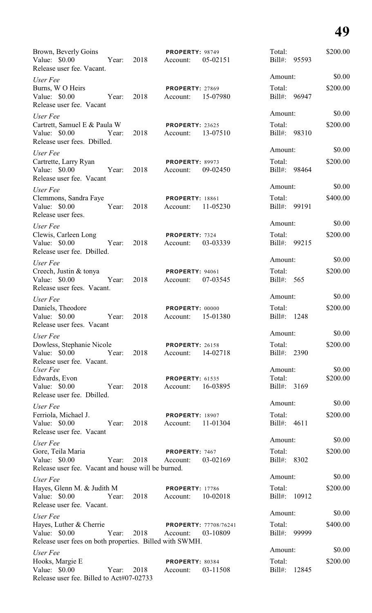| Brown, Beverly Goins<br>Value: \$0.00<br>Release user fee. Vacant.                                  | Year: | 2018 | PROPERTY: 98749<br>Account:                 | 05-02151 | Total:<br>Bill#: 95593    |       | \$200.00 |
|-----------------------------------------------------------------------------------------------------|-------|------|---------------------------------------------|----------|---------------------------|-------|----------|
| User Fee                                                                                            |       |      |                                             |          | Amount:                   |       | \$0.00   |
| Burns, W O Heirs<br>Value: \$0.00<br>Release user fee. Vacant                                       | Year: | 2018 | <b>PROPERTY: 27869</b><br>Account: 15-07980 |          | Total:<br>Bill#: 96947    |       | \$200.00 |
| User Fee                                                                                            |       |      |                                             |          | Amount:                   |       | \$0.00   |
| Cartrett, Samuel E & Paula W<br>Value: \$0.00<br>Release user fees. Dbilled.                        | Year: | 2018 | PROPERTY: 23625<br>Account: 13-07510        |          | Total:<br>Bill#: 98310    |       | \$200.00 |
| User Fee                                                                                            |       |      |                                             |          | Amount:                   |       | \$0.00   |
| Cartrette, Larry Ryan<br>Value: \$0.00<br>Release user fee. Vacant                                  | Year: | 2018 | PROPERTY: 89973<br>Account:                 | 09-02450 | Total:<br>Bill#: 98464    |       | \$200.00 |
| User Fee                                                                                            |       |      |                                             |          | Amount:                   |       | \$0.00   |
| Clemmons, Sandra Faye<br>Value: \$0.00<br>Release user fees.                                        | Year: | 2018 | <b>PROPERTY: 18861</b><br>Account:          | 11-05230 | Total:<br>Bill#: 99191    |       | \$400.00 |
| User Fee                                                                                            |       |      |                                             |          | Amount:                   |       | \$0.00   |
| Clewis, Carleen Long<br>Value: \$0.00<br>Release user fee. Dbilled.                                 | Year: | 2018 | PROPERTY: 7324<br>Account:                  | 03-03339 | Total:<br>Bill#: 99215    |       | \$200.00 |
| User Fee                                                                                            |       |      |                                             |          | Amount:                   |       | \$0.00   |
| Creech, Justin & tonya<br>Value: \$0.00<br>Release user fees. Vacant.                               | Year: | 2018 | PROPERTY: 94061<br>Account:                 | 07-03545 | Total:<br>$\text{Bill}$ : | 565   | \$200.00 |
| User Fee                                                                                            |       |      |                                             |          | Amount:                   |       | \$0.00   |
| Daniels, Theodore<br>Value: \$0.00<br>Release user fees. Vacant                                     | Year: | 2018 | PROPERTY: 00000<br>Account:                 | 15-01380 | Total:<br>Bill#:          | 1248  | \$200.00 |
| User Fee                                                                                            |       |      |                                             |          | Amount:                   |       | \$0.00   |
| Dowless, Stephanie Nicole<br>Value: \$0.00<br>Release user fee. Vacant.                             | Year: | 2018 | <b>PROPERTY: 26158</b><br>Account:          | 14-02718 | Total:<br>Bill#:          | 2390  | \$200.00 |
| User Fee                                                                                            |       |      |                                             |          | Amount:                   |       | \$0.00   |
| Edwards, Evon<br>Value: \$0.00<br>Release user fee. Dbilled.                                        | Year: | 2018 | <b>PROPERTY: 61535</b><br>Account:          | 16-03895 | Total:<br>Bill#: 3169     |       | \$200.00 |
| User Fee                                                                                            |       |      |                                             |          | Amount:                   |       | \$0.00   |
| Ferriola, Michael J.<br>Value: \$0.00<br>Release user fee. Vacant                                   | Year: | 2018 | <b>PROPERTY: 18907</b><br>Account:          | 11-01304 | Total:<br>Bill#: 4611     |       | \$200.00 |
| User Fee                                                                                            |       |      |                                             |          | Amount:                   |       | \$0.00   |
| Gore, Teila Maria<br>Value: \$0.00<br>Release user fee. Vacant and house will be burned.            | Year: | 2018 | PROPERTY: 7467<br>Account:                  | 03-02169 | Total:<br>Bill#: 8302     |       | \$200.00 |
| User Fee                                                                                            |       |      |                                             |          | Amount:                   |       | \$0.00   |
| Hayes, Glenn M. & Judith M<br>Value: \$0.00<br>Release user fee. Vacant.                            | Year: | 2018 | <b>PROPERTY: 17786</b><br>Account:          | 10-02018 | Total:<br>Bill#: 10912    |       | \$200.00 |
| User Fee                                                                                            |       |      |                                             |          | Amount:                   |       | \$0.00   |
| Hayes, Luther & Cherrie<br>Value: \$0.00<br>Release user fees on both properties. Billed with SWMH. | Year: | 2018 | <b>PROPERTY: 77708/76241</b><br>Account:    | 03-10809 | Total:<br>Bill#: 99999    |       | \$400.00 |
| User Fee                                                                                            |       |      |                                             |          | Amount:                   |       | \$0.00   |
| Hooks, Margie E<br>Value: \$0.00<br>Release user fee. Billed to Act#07-02733                        | Year: | 2018 | PROPERTY: 80384<br>Account:                 | 03-11508 | Total:<br>Bill#:          | 12845 | \$200.00 |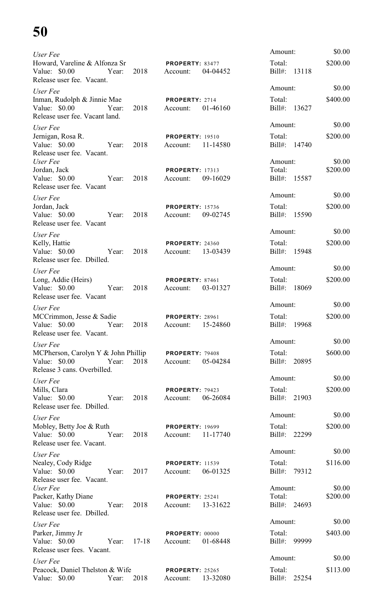| User Fee                                                                                                  |               |                                             |          | Amount:                           |       | \$0.00             |
|-----------------------------------------------------------------------------------------------------------|---------------|---------------------------------------------|----------|-----------------------------------|-------|--------------------|
| Howard, Vareline & Alfonza Sr<br>Value: $$0.00$<br>Year:<br>Release user fee. Vacant.                     | 2018          | PROPERTY: 83477<br>Account:                 | 04-04452 | Total:<br>Bill#:                  | 13118 | \$200.00           |
| User Fee                                                                                                  |               |                                             |          | Amount:                           |       | \$0.00             |
| Inman, Rudolph & Jinnie Mae<br>Value: \$0.00<br>Year:<br>Release user fee. Vacant land.                   | 2018          | PROPERTY: 2714<br>Account:                  | 01-46160 | Total:<br>Bill#: 13627            |       | \$400.00           |
| User Fee                                                                                                  |               |                                             |          | Amount:                           |       | \$0.00             |
| Jernigan, Rosa R.<br>Value: \$0.00<br>Year:<br>Release user fee. Vacant.                                  | 2018          | <b>PROPERTY: 19510</b><br>Account:          | 11-14580 | Total:<br>Bill#: 14740            |       | \$200.00           |
| User Fee<br>Jordan, Jack<br>Value: $$0.00$<br>Year:<br>Release user fee. Vacant                           | 2018          | <b>PROPERTY: 17313</b><br>Account:          | 09-16029 | Amount:<br>Total:<br>Bill#: 15587 |       | \$0.00<br>\$200.00 |
| User Fee                                                                                                  |               |                                             |          | Amount:                           |       | \$0.00             |
| Jordan, Jack<br>Value: \$0.00<br>Year:<br>Release user fee. Vacant                                        | 2018          | <b>PROPERTY: 15736</b><br>Account:          | 09-02745 | Total:<br>Bill#: 15590            |       | \$200.00           |
| User Fee                                                                                                  |               |                                             |          | Amount:                           |       | \$0.00             |
| Kelly, Hattie<br>Value: \$0.00<br>Year:<br>Release user fee. Dbilled.                                     | 2018          | <b>PROPERTY: 24360</b><br>Account:          | 13-03439 | Total:<br>Bill#: 15948            |       | \$200.00           |
| User Fee                                                                                                  |               |                                             |          | Amount:                           |       | \$0.00             |
| Long, Addie (Heirs)<br>Value: \$0.00<br>Year:<br>Release user fee. Vacant                                 | 2018          | PROPERTY: 87461<br>Account:                 | 03-01327 | Total:<br>Bill#: 18069            |       | \$200.00           |
| User Fee                                                                                                  |               |                                             |          | Amount:                           |       | \$0.00             |
| MCCrimmon, Jesse & Sadie<br>Release user fee. Vacant.                                                     |               | <b>PROPERTY: 28961</b>                      |          | Total:<br>Bill#: 19968            |       | \$200.00           |
| User Fee                                                                                                  |               |                                             |          | Amount:                           |       | \$0.00             |
| MCPherson, Carolyn Y & John Phillip PROPERTY: 79408<br>Value: \$0.00 Year:<br>Release 3 cans. Overbilled. |               | 2018 Account: 05-04284                      |          | Total:<br>Bill#: 20895            |       | \$600.00           |
| User Fee                                                                                                  |               |                                             |          | Amount:                           |       | \$0.00             |
| Mills, Clara<br>Value: \$0.00 Year: 2018<br>Release user fee. Dbilled.                                    |               | <b>PROPERTY: 79423</b><br>Account: 06-26084 |          | Total:<br>Bill#: 21903            |       | \$200.00           |
| User Fee                                                                                                  |               |                                             |          | Amount:                           |       | \$0.00             |
| Mobley, Betty Joe & Ruth<br>Value: \$0.00 		 Year: 2018 	 Account: 11-17740<br>Release user fee. Vacant.  |               | <b>PROPERTY: 19699</b>                      |          | Total:<br>Bill#: 22299            |       | \$200.00           |
| User Fee                                                                                                  |               |                                             |          | Amount:                           |       | \$0.00             |
| Nealey, Cody Ridge<br>Value: \$0.00 Year:<br>Release user fee. Vacant.                                    | 2017          | <b>PROPERTY: 11539</b><br>Account: 06-01325 |          | Total:<br>Bill#: 79312            |       | \$116.00           |
| User Fee                                                                                                  |               |                                             |          | Amount:                           |       | \$0.00             |
| Packer, Kathy Diane<br>Value: \$0.00 Year: 2018 Account: 13-31622<br>Release user fee. Dbilled.           |               | PROPERTY: 25241                             |          | Total:<br>Bill#: 24693            |       | \$200.00           |
| User Fee                                                                                                  |               |                                             |          | Amount:                           |       | \$0.00             |
| Parker, Jimmy Jr<br>Year: 17-18 Account:<br>Value: \$0.00<br>Release user fees. Vacant.                   |               | <b>PROPERTY: 00000</b>                      | 01-68448 | Total:<br>Bill#: 99999            |       | \$403.00           |
| User Fee                                                                                                  |               |                                             |          | Amount:                           |       | \$0.00             |
| Peacock, Daniel Thelston & Wife PROPERTY: 25265<br>Value: \$0.00 Year:                                    | 2018 Account: |                                             | 13-32080 | Total:<br>Bill#: 25254            |       | \$113.00           |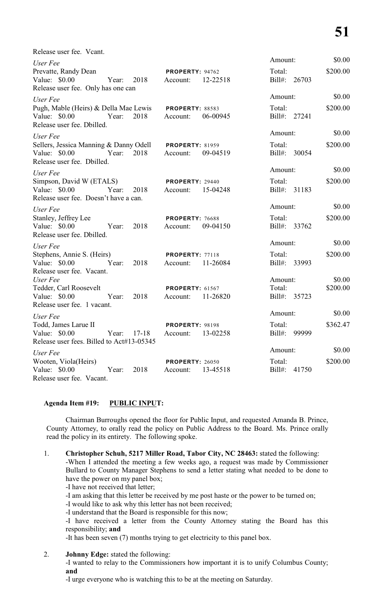| Release user fee. Vcant.                                                                                |           |                                    |          |                                   |       |                    |
|---------------------------------------------------------------------------------------------------------|-----------|------------------------------------|----------|-----------------------------------|-------|--------------------|
| User Fee                                                                                                |           |                                    |          | Amount:                           |       | \$0.00             |
| Prevatte, Randy Dean<br>Value: \$0.00<br>Year:<br>Release user fee. Only has one can                    | 2018      | PROPERTY: 94762<br>Account:        | 12-22518 | Total:<br>$Bill#$ :               | 26703 | \$200.00           |
| User Fee                                                                                                |           |                                    |          | Amount:                           |       | \$0.00             |
| Pugh, Mable (Heirs) & Della Mae Lewis<br>Value: \$0.00<br>Year:<br>Release user fee. Dbilled.           | 2018      | <b>PROPERTY: 88583</b><br>Account: | 06-00945 | Total:<br>Bill#: 27241            |       | \$200.00           |
| User Fee                                                                                                |           |                                    |          | Amount:                           |       | \$0.00             |
| Sellers, Jessica Manning & Danny Odell<br>Value: \$0.00<br>Year:<br>Release user fee. Dbilled.          | 2018      | <b>PROPERTY: 81959</b><br>Account: | 09-04519 | Total:<br>$Bill#$ :               | 30054 | \$200.00           |
| User Fee                                                                                                |           |                                    |          | Amount:                           |       | \$0.00             |
| Simpson, David W (ETALS)<br>Value: \$0.00<br>Year:<br>Release user fee. Doesn't have a can.             | 2018      | <b>PROPERTY: 29440</b><br>Account: | 15-04248 | Total:<br>$Bill#$ :               | 31183 | \$200.00           |
| User Fee                                                                                                |           |                                    |          | Amount:                           |       | \$0.00             |
| Stanley, Jeffrey Lee<br>Value: \$0.00<br>Year:<br>Release user fee. Dbilled.                            | 2018      | PROPERTY: 76688<br>Account:        | 09-04150 | Total:<br>$Bill#$ :               | 33762 | \$200.00           |
| User Fee                                                                                                |           |                                    |          | Amount:                           |       | \$0.00             |
| Stephens, Annie S. (Heirs)<br>Value: \$0.00<br>Year:<br>Release user fee. Vacant.                       | 2018      | <b>PROPERTY: 77118</b><br>Account: | 11-26084 | Total:<br>$Bill#$ :               | 33993 | \$200.00           |
| User Fee<br>Tedder, Carl Roosevelt<br>Value: \$0.00<br>Year:<br>Release user fee. 1 vacant.             | 2018      | <b>PROPERTY: 61567</b><br>Account: | 11-26820 | Amount:<br>Total:<br>Bill#: 35723 |       | \$0.00<br>\$200.00 |
|                                                                                                         |           |                                    |          | Amount:                           |       | \$0.00             |
| User Fee<br>Todd, James Larue II<br>Value: \$0.00<br>Year:<br>Release user fees. Billed to Act#13-05345 | $17 - 18$ | PROPERTY: 98198<br>Account:        | 13-02258 | Total:<br>Bill#:                  | 99999 | \$362.47           |
| User Fee                                                                                                |           |                                    |          | Amount:                           |       | \$0.00             |
| Wooten, Viola(Heirs)<br>Value: \$0.00<br>Year:<br>Release user fee. Vacant.                             | 2018      | <b>PROPERTY: 26050</b><br>Account: | 13-45518 | Total:<br>Bill#: 41750            |       | \$200.00           |

#### **Agenda Item #19: PUBLIC INPUT:**

Chairman Burroughs opened the floor for Public Input, and requested Amanda B. Prince, County Attorney, to orally read the policy on Public Address to the Board. Ms. Prince orally read the policy in its entirety. The following spoke.

- 1. **Christopher Schuh, 5217 Miller Road, Tabor City, NC 28463:** stated the following: -When I attended the meeting a few weeks ago, a request was made by Commissioner Bullard to County Manager Stephens to send a letter stating what needed to be done to have the power on my panel box;
	- -I have not received that letter;
	- -I am asking that this letter be received by me post haste or the power to be turned on;
	- -I would like to ask why this letter has not been received;

-I understand that the Board is responsible for this now;

-I have received a letter from the County Attorney stating the Board has this responsibility; **and**

-It has been seven (7) months trying to get electricity to this panel box.

2. **Johnny Edge:** stated the following:

-I wanted to relay to the Commissioners how important it is to unify Columbus County; **and**

-I urge everyone who is watching this to be at the meeting on Saturday.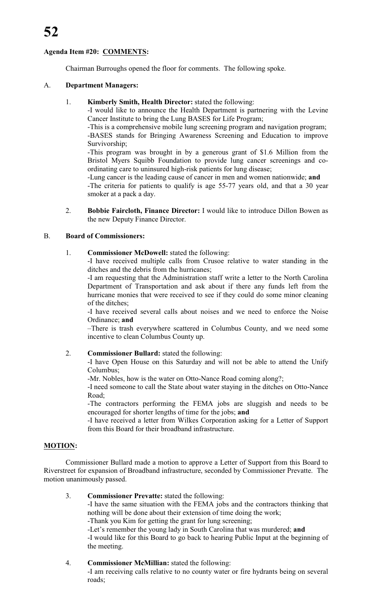### **Agenda Item #20: COMMENTS:**

Chairman Burroughs opened the floor for comments. The following spoke.

#### A. **Department Managers:**

#### 1. **Kimberly Smith, Health Director:** stated the following:

-I would like to announce the Health Department is partnering with the Levine Cancer Institute to bring the Lung BASES for Life Program;

-This is a comprehensive mobile lung screening program and navigation program; -BASES stands for Bringing Awareness Screening and Education to improve Survivorship;

-This program was brought in by a generous grant of \$1.6 Million from the Bristol Myers Squibb Foundation to provide lung cancer screenings and coordinating care to uninsured high-risk patients for lung disease;

-Lung cancer is the leading cause of cancer in men and women nationwide; **and** -The criteria for patients to qualify is age 55-77 years old, and that a 30 year smoker at a pack a day.

2. **Bobbie Faircloth, Finance Director:** I would like to introduce Dillon Bowen as the new Deputy Finance Director.

#### B. **Board of Commissioners:**

1. **Commissioner McDowell:** stated the following:

-I have received multiple calls from Crusoe relative to water standing in the ditches and the debris from the hurricanes;

-I am requesting that the Administration staff write a letter to the North Carolina Department of Transportation and ask about if there any funds left from the hurricane monies that were received to see if they could do some minor cleaning of the ditches;

-I have received several calls about noises and we need to enforce the Noise Ordinance; **and**

–There is trash everywhere scattered in Columbus County, and we need some incentive to clean Columbus County up.

### 2. **Commissioner Bullard:** stated the following:

-I have Open House on this Saturday and will not be able to attend the Unify Columbus;

-Mr. Nobles, how is the water on Otto-Nance Road coming along?;

-I need someone to call the State about water staying in the ditches on Otto-Nance Road;

-The contractors performing the FEMA jobs are sluggish and needs to be encouraged for shorter lengths of time for the jobs; **and**

-I have received a letter from Wilkes Corporation asking for a Letter of Support from this Board for their broadband infrastructure.

### **MOTION:**

Commissioner Bullard made a motion to approve a Letter of Support from this Board to Riverstreet for expansion of Broadband infrastructure, seconded by Commissioner Prevatte. The motion unanimously passed.

#### 3. **Commissioner Prevatte:** stated the following:

-I have the same situation with the FEMA jobs and the contractors thinking that nothing will be done about their extension of time doing the work;

-Thank you Kim for getting the grant for lung screening;

-Let's remember the young lady in South Carolina that was murdered; **and** -I would like for this Board to go back to hearing Public Input at the beginning of the meeting.

#### 4. **Commissioner McMillian:** stated the following:

-I am receiving calls relative to no county water or fire hydrants being on several roads;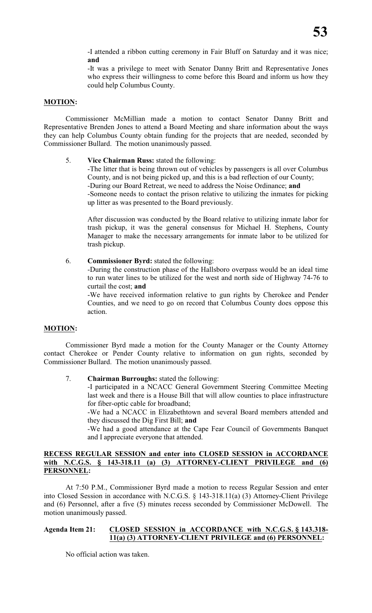-It was a privilege to meet with Senator Danny Britt and Representative Jones who express their willingness to come before this Board and inform us how they could help Columbus County.

#### **MOTION:**

Commissioner McMillian made a motion to contact Senator Danny Britt and Representative Brenden Jones to attend a Board Meeting and share information about the ways they can help Columbus County obtain funding for the projects that are needed, seconded by Commissioner Bullard. The motion unanimously passed.

#### 5. **Vice Chairman Russ:** stated the following:

-The litter that is being thrown out of vehicles by passengers is all over Columbus County, and is not being picked up, and this is a bad reflection of our County; -During our Board Retreat, we need to address the Noise Ordinance; **and** -Someone needs to contact the prison relative to utilizing the inmates for picking up litter as was presented to the Board previously.

After discussion was conducted by the Board relative to utilizing inmate labor for trash pickup, it was the general consensus for Michael H. Stephens, County Manager to make the necessary arrangements for inmate labor to be utilized for trash pickup.

6. **Commissioner Byrd:** stated the following:

-During the construction phase of the Hallsboro overpass would be an ideal time to run water lines to be utilized for the west and north side of Highway 74-76 to curtail the cost; **and**

-We have received information relative to gun rights by Cherokee and Pender Counties, and we need to go on record that Columbus County does oppose this action.

### **MOTION:**

Commissioner Byrd made a motion for the County Manager or the County Attorney contact Cherokee or Pender County relative to information on gun rights, seconded by Commissioner Bullard. The motion unanimously passed.

7. **Chairman Burroughs:** stated the following:

-I participated in a NCACC General Government Steering Committee Meeting last week and there is a House Bill that will allow counties to place infrastructure for fiber-optic cable for broadband;

-We had a NCACC in Elizabethtown and several Board members attended and they discussed the Dig First Bill; **and**

-We had a good attendance at the Cape Fear Council of Governments Banquet and I appreciate everyone that attended.

#### **RECESS REGULAR SESSION and enter into CLOSED SESSION in ACCORDANCE with N.C.G.S. § 143-318.11 (a) (3) ATTORNEY-CLIENT PRIVILEGE and (6) PERSONNEL:**

At 7:50 P.M., Commissioner Byrd made a motion to recess Regular Session and enter into Closed Session in accordance with N.C.G.S. § 143-318.11(a) (3) Attorney-Client Privilege and (6) Personnel, after a five (5) minutes recess seconded by Commissioner McDowell. The motion unanimously passed.

#### **Agenda Item 21: CLOSED SESSION in ACCORDANCE with N.C.G.S. § 143.318- 11(a) (3) ATTORNEY-CLIENT PRIVILEGE and (6) PERSONNEL:**

No official action was taken.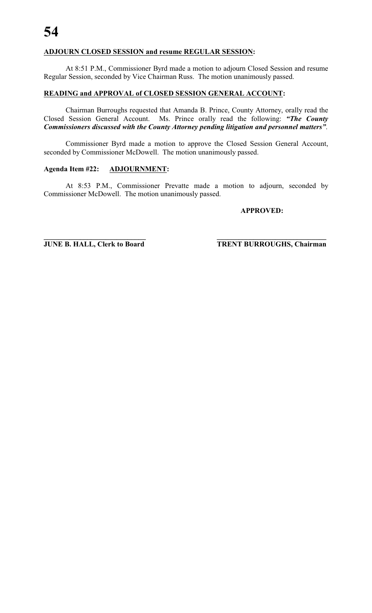#### **ADJOURN CLOSED SESSION and resume REGULAR SESSION:**

At 8:51 P.M., Commissioner Byrd made a motion to adjourn Closed Session and resume Regular Session, seconded by Vice Chairman Russ. The motion unanimously passed.

#### **READING and APPROVAL of CLOSED SESSION GENERAL ACCOUNT:**

Chairman Burroughs requested that Amanda B. Prince, County Attorney, orally read the Closed Session General Account. Ms. Prince orally read the following: *"The County Commissioners discussed with the County Attorney pending litigation and personnel matters"*.

Commissioner Byrd made a motion to approve the Closed Session General Account, seconded by Commissioner McDowell. The motion unanimously passed.

#### **Agenda Item #22: ADJOURNMENT:**

At 8:53 P.M., Commissioner Prevatte made a motion to adjourn, seconded by Commissioner McDowell. The motion unanimously passed.

**\_\_\_\_\_\_\_\_\_\_\_\_\_\_\_\_\_\_\_\_\_\_\_\_\_\_\_\_ \_\_\_\_\_\_\_\_\_\_\_\_\_\_\_\_\_\_\_\_\_\_\_\_\_\_\_\_\_\_**

#### **APPROVED:**

**JUNE B. HALL, Clerk to Board TRENT BURROUGHS, Chairman**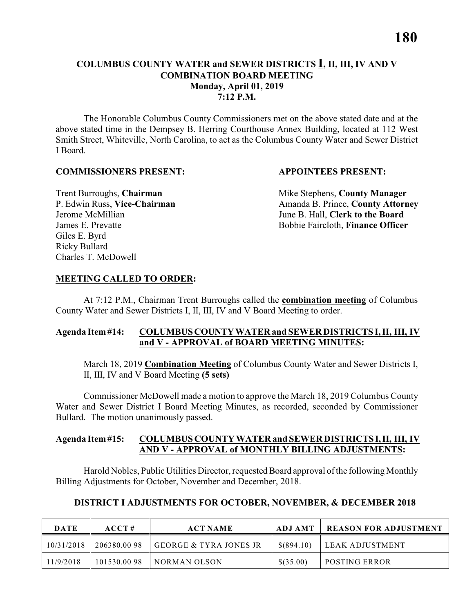#### **COLUMBUS COUNTY WATER and SEWER DISTRICTS I, II, III, IV AND V COMBINATION BOARD MEETING Monday, April 01, 2019 7:12 P.M.**

The Honorable Columbus County Commissioners met on the above stated date and at the above stated time in the Dempsey B. Herring Courthouse Annex Building, located at 112 West Smith Street, Whiteville, North Carolina, to act as the Columbus County Water and Sewer District I Board.

#### **COMMISSIONERS PRESENT: APPOINTEES PRESENT:**

Giles E. Byrd Ricky Bullard Charles T. McDowell

**Trent Burroughs, Chairman** Mike Stephens, **County Manager** P. Edwin Russ, **Vice-Chairman** Amanda B. Prince, **County Attorney** Jerome McMillian June B. Hall, **Clerk to the Board** James E. Prevatte Bobbie Faircloth, **Finance Officer**

#### **MEETING CALLED TO ORDER:**

At 7:12 P.M., Chairman Trent Burroughs called the **combination meeting** of Columbus County Water and Sewer Districts I, II, III, IV and V Board Meeting to order.

#### **Agenda Item #14: COLUMBUS COUNTY WATER and SEWER DISTRICTS I, II, III, IV and V - APPROVAL of BOARD MEETING MINUTES:**

March 18, 2019 **Combination Meeting** of Columbus County Water and Sewer Districts I, II, III, IV and V Board Meeting **(5 sets)**

Commissioner McDowell made a motion to approve the March 18, 2019 Columbus County Water and Sewer District I Board Meeting Minutes, as recorded, seconded by Commissioner Bullard. The motion unanimously passed.

#### **Agenda Item #15: COLUMBUS COUNTY WATER and SEWER DISTRICTS I, II, III, IV AND V - APPROVAL of MONTHLY BILLING ADJUSTMENTS:**

Harold Nobles, Public Utilities Director, requested Board approval ofthe following Monthly Billing Adjustments for October, November and December, 2018.

#### **DISTRICT I ADJUSTMENTS FOR OCTOBER, NOVEMBER, & DECEMBER 2018**

| <b>DATE</b> | ACCT#       | <b>ACT NAME</b>        | ADJ AMT      | <b>REASON FOR ADJUSTMENT</b> |
|-------------|-------------|------------------------|--------------|------------------------------|
| 10/31/2018  | 206380.0098 | GEORGE & TYRA JONES JR | $$$ (894.10) | LEAK ADJUSTMENT              |
| 11/9/2018   | 101530.0098 | NORMAN OLSON           | $$$ (35.00)  | <b>POSTING ERROR</b>         |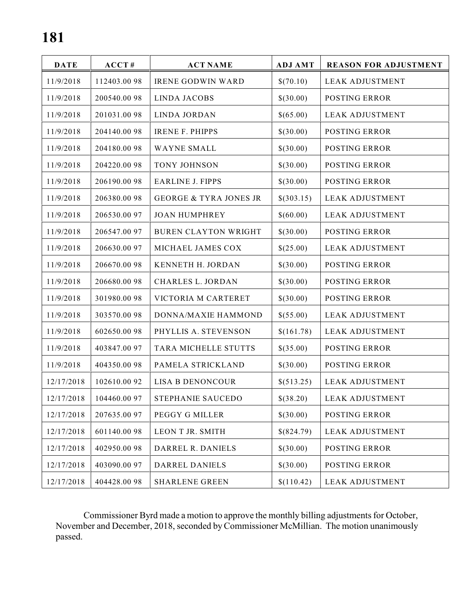| <b>DATE</b> | ACCT#        | <b>ACT NAME</b>                   | <b>ADJ AMT</b> | <b>REASON FOR ADJUSTMENT</b> |
|-------------|--------------|-----------------------------------|----------------|------------------------------|
| 11/9/2018   | 112403.0098  | <b>IRENE GODWIN WARD</b>          | \$(70.10)      | <b>LEAK ADJUSTMENT</b>       |
| 11/9/2018   | 200540.0098  | <b>LINDA JACOBS</b>               | \$(30.00)      | <b>POSTING ERROR</b>         |
| 11/9/2018   | 201031.0098  | <b>LINDA JORDAN</b>               | \$(65.00)      | <b>LEAK ADJUSTMENT</b>       |
| 11/9/2018   | 204140.0098  | <b>IRENE F. PHIPPS</b>            | \$(30.00)      | POSTING ERROR                |
| 11/9/2018   | 204180.0098  | <b>WAYNE SMALL</b>                | \$(30.00)      | <b>POSTING ERROR</b>         |
| 11/9/2018   | 204220.0098  | TONY JOHNSON                      | \$(30.00)      | POSTING ERROR                |
| 11/9/2018   | 206190.0098  | <b>EARLINE J. FIPPS</b>           | \$(30.00)      | POSTING ERROR                |
| 11/9/2018   | 206380.0098  | <b>GEORGE &amp; TYRA JONES JR</b> | \$(303.15)     | <b>LEAK ADJUSTMENT</b>       |
| 11/9/2018   | 206530.0097  | <b>JOAN HUMPHREY</b>              | \$(60.00)      | <b>LEAK ADJUSTMENT</b>       |
| 11/9/2018   | 206547.0097  | <b>BUREN CLAYTON WRIGHT</b>       | \$(30.00)      | <b>POSTING ERROR</b>         |
| 11/9/2018   | 206630.0097  | MICHAEL JAMES COX                 | \$(25.00)      | <b>LEAK ADJUSTMENT</b>       |
| 11/9/2018   | 206670.0098  | KENNETH H. JORDAN                 | \$(30.00)      | <b>POSTING ERROR</b>         |
| 11/9/2018   | 206680.0098  | <b>CHARLES L. JORDAN</b>          | \$(30.00)      | POSTING ERROR                |
| 11/9/2018   | 301980.0098  | VICTORIA M CARTERET               | \$(30.00)      | POSTING ERROR                |
| 11/9/2018   | 303570.0098  | DONNA/MAXIE HAMMOND               | \$(55.00)      | <b>LEAK ADJUSTMENT</b>       |
| 11/9/2018   | 602650.0098  | PHYLLIS A. STEVENSON              | \$(161.78)     | <b>LEAK ADJUSTMENT</b>       |
| 11/9/2018   | 403847.0097  | TARA MICHELLE STUTTS              | \$(35.00)      | POSTING ERROR                |
| 11/9/2018   | 404350.0098  | PAMELA STRICKLAND                 | \$(30.00)      | POSTING ERROR                |
| 12/17/2018  | 102610.0092  | LISA B DENONCOUR                  | \$(513.25)     | <b>LEAK ADJUSTMENT</b>       |
| 12/17/2018  | 104460.00 97 | STEPHANIE SAUCEDO                 | \$(38.20)      | <b>LEAK ADJUSTMENT</b>       |
| 12/17/2018  | 207635.0097  | PEGGY G MILLER                    | \$(30.00)      | POSTING ERROR                |
| 12/17/2018  | 601140.0098  | LEON T JR. SMITH                  | \$(824.79)     | <b>LEAK ADJUSTMENT</b>       |
| 12/17/2018  | 402950.0098  | DARREL R. DANIELS                 | \$(30.00)      | <b>POSTING ERROR</b>         |
| 12/17/2018  | 403090.0097  | <b>DARREL DANIELS</b>             | \$(30.00)      | <b>POSTING ERROR</b>         |
| 12/17/2018  | 404428.0098  | <b>SHARLENE GREEN</b>             | \$(110.42)     | <b>LEAK ADJUSTMENT</b>       |

Commissioner Byrd made a motion to approve the monthly billing adjustments for October, November and December, 2018, seconded byCommissioner McMillian. The motion unanimously passed.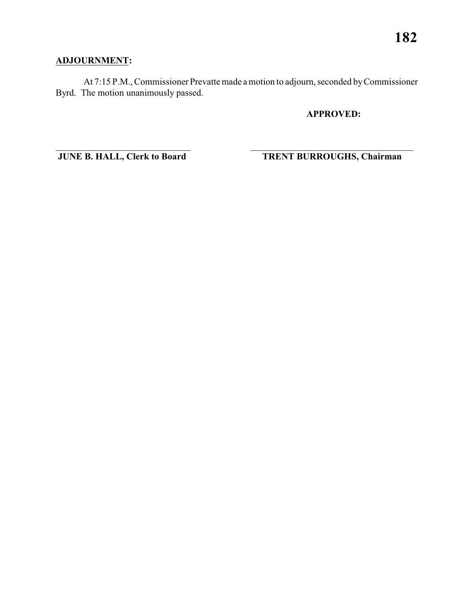### **ADJOURNMENT:**

At 7:15 P.M., Commissioner Prevatte made a motion to adjourn, seconded by Commissioner Byrd. The motion unanimously passed.

\_\_\_\_\_\_\_\_\_\_\_\_\_\_\_\_\_\_\_\_\_\_\_\_\_\_\_\_\_ \_\_\_\_\_\_\_\_\_\_\_\_\_\_\_\_\_\_\_\_\_\_\_\_\_\_\_\_\_\_\_\_\_\_\_

**APPROVED:**

**JUNE B. HALL, Clerk to Board TRENT BURROUGHS, Chairman**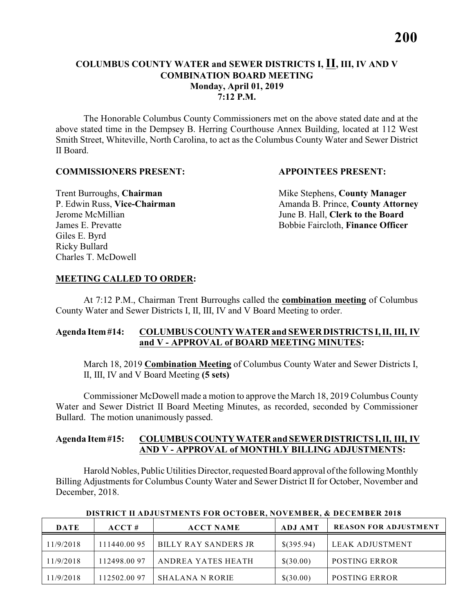#### **COLUMBUS COUNTY WATER and SEWER DISTRICTS I, II, III, IV AND V COMBINATION BOARD MEETING Monday, April 01, 2019 7:12 P.M.**

The Honorable Columbus County Commissioners met on the above stated date and at the above stated time in the Dempsey B. Herring Courthouse Annex Building, located at 112 West Smith Street, Whiteville, North Carolina, to act as the Columbus County Water and Sewer District II Board.

#### **COMMISSIONERS PRESENT: APPOINTEES PRESENT:**

Giles E. Byrd Ricky Bullard Charles T. McDowell

**Trent Burroughs, Chairman** Mike Stephens, **County Manager** P. Edwin Russ, **Vice-Chairman** Amanda B. Prince, **County Attorney** Jerome McMillian June B. Hall, **Clerk to the Board** James E. Prevatte Bobbie Faircloth, **Finance Officer**

#### **MEETING CALLED TO ORDER:**

At 7:12 P.M., Chairman Trent Burroughs called the **combination meeting** of Columbus County Water and Sewer Districts I, II, III, IV and V Board Meeting to order.

#### **Agenda Item #14: COLUMBUS COUNTY WATER and SEWER DISTRICTS I, II, III, IV and V - APPROVAL of BOARD MEETING MINUTES:**

March 18, 2019 **Combination Meeting** of Columbus County Water and Sewer Districts I, II, III, IV and V Board Meeting **(5 sets)**

Commissioner McDowell made a motion to approve the March 18, 2019 Columbus County Water and Sewer District II Board Meeting Minutes, as recorded, seconded by Commissioner Bullard. The motion unanimously passed.

#### **Agenda Item #15: COLUMBUS COUNTY WATER and SEWER DISTRICTS I, II, III, IV AND V - APPROVAL of MONTHLY BILLING ADJUSTMENTS:**

Harold Nobles, Public Utilities Director, requested Board approval ofthe following Monthly Billing Adjustments for Columbus County Water and Sewer District II for October, November and December, 2018.

| <b>DATE</b> | ACCT#        | <b>ACCT NAME</b>       | <b>ADJ AMT</b> | <b>REASON FOR ADJUSTMENT</b> |
|-------------|--------------|------------------------|----------------|------------------------------|
| 11/9/2018   | 111440.00 95 | BILLY RAY SANDERS JR   | $$$ (395.94)   | LEAK ADJUSTMENT              |
| 11/9/2018   | 112498.00 97 | ANDREA YATES HEATH     | \$(30.00)      | <b>POSTING ERROR</b>         |
| 11/9/2018   | 112502.00 97 | <b>SHALANA N RORIE</b> | \$(30.00)      | <b>POSTING ERROR</b>         |

 **DISTRICT II ADJUSTMENTS FOR OCTOBER, NOVEMBER, & DECEMBER 2018**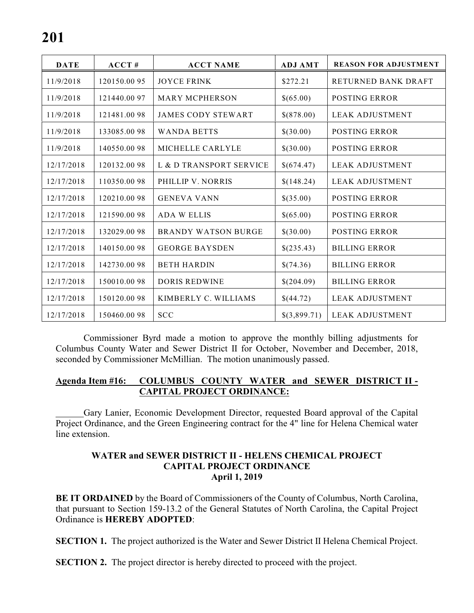| <b>DATE</b> | ACCT#        | <b>ACCT NAME</b>           | <b>ADJ AMT</b> | <b>REASON FOR ADJUSTMENT</b> |
|-------------|--------------|----------------------------|----------------|------------------------------|
| 11/9/2018   | 120150.0095  | <b>JOYCE FRINK</b>         | \$272.21       | <b>RETURNED BANK DRAFT</b>   |
| 11/9/2018   | 121440.0097  | <b>MARY MCPHERSON</b>      | \$(65.00)      | POSTING ERROR                |
| 11/9/2018   | 121481.0098  | <b>JAMES CODY STEWART</b>  | \$(878.00)     | <b>LEAK ADJUSTMENT</b>       |
| 11/9/2018   | 133085.0098  | <b>WANDA BETTS</b>         | \$(30.00)      | <b>POSTING ERROR</b>         |
| 11/9/2018   | 140550.0098  | MICHELLE CARLYLE           | \$(30.00)      | <b>POSTING ERROR</b>         |
| 12/17/2018  | 120132.0098  | L & D TRANSPORT SERVICE    | \$(674.47)     | <b>LEAK ADJUSTMENT</b>       |
| 12/17/2018  | 110350.0098  | PHILLIP V. NORRIS          | \$(148.24)     | <b>LEAK ADJUSTMENT</b>       |
| 12/17/2018  | 120210.0098  | <b>GENEVA VANN</b>         | \$(35.00)      | <b>POSTING ERROR</b>         |
| 12/17/2018  | 121590.0098  | <b>ADA W ELLIS</b>         | \$(65.00)      | <b>POSTING ERROR</b>         |
| 12/17/2018  | 132029.00 98 | <b>BRANDY WATSON BURGE</b> | \$(30.00)      | <b>POSTING ERROR</b>         |
| 12/17/2018  | 140150.0098  | <b>GEORGE BAYSDEN</b>      | \$(235.43)     | <b>BILLING ERROR</b>         |
| 12/17/2018  | 142730.0098  | <b>BETH HARDIN</b>         | \$(74.36)      | <b>BILLING ERROR</b>         |
| 12/17/2018  | 150010.0098  | <b>DORIS REDWINE</b>       | \$(204.09)     | <b>BILLING ERROR</b>         |
| 12/17/2018  | 150120.0098  | KIMBERLY C. WILLIAMS       | \$(44.72)      | <b>LEAK ADJUSTMENT</b>       |
| 12/17/2018  | 150460.0098  | <b>SCC</b>                 | \$(3,899.71)   | <b>LEAK ADJUSTMENT</b>       |

Commissioner Byrd made a motion to approve the monthly billing adjustments for Columbus County Water and Sewer District II for October, November and December, 2018, seconded by Commissioner McMillian. The motion unanimously passed.

#### **Agenda Item #16: COLUMBUS COUNTY WATER and SEWER DISTRICT II - CAPITAL PROJECT ORDINANCE:**

Gary Lanier, Economic Development Director, requested Board approval of the Capital Project Ordinance, and the Green Engineering contract for the 4" line for Helena Chemical water line extension.

#### **WATER and SEWER DISTRICT II - HELENS CHEMICAL PROJECT CAPITAL PROJECT ORDINANCE April 1, 2019**

**BE IT ORDAINED** by the Board of Commissioners of the County of Columbus, North Carolina, that pursuant to Section 159-13.2 of the General Statutes of North Carolina, the Capital Project Ordinance is **HEREBY ADOPTED**:

**SECTION 1.** The project authorized is the Water and Sewer District II Helena Chemical Project.

**SECTION 2.** The project director is hereby directed to proceed with the project.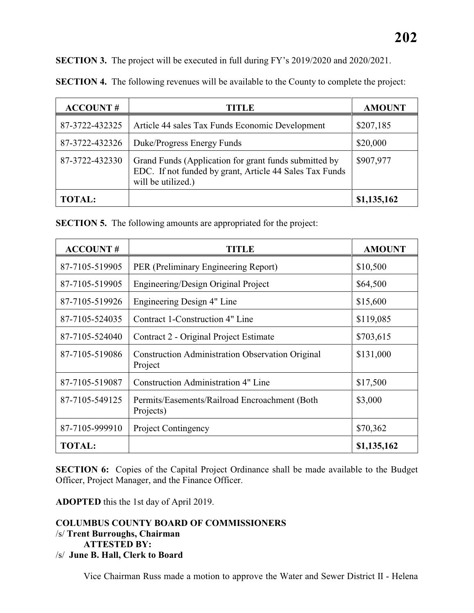| <b>ACCOUNT#</b> | <b>TITLE</b>                                                                                                                           | <b>AMOUNT</b> |
|-----------------|----------------------------------------------------------------------------------------------------------------------------------------|---------------|
| 87-3722-432325  | Article 44 sales Tax Funds Economic Development                                                                                        | \$207,185     |
| 87-3722-432326  | Duke/Progress Energy Funds                                                                                                             | \$20,000      |
| 87-3722-432330  | Grand Funds (Application for grant funds submitted by<br>EDC. If not funded by grant, Article 44 Sales Tax Funds<br>will be utilized.) | \$907,977     |
| <b>TOTAL:</b>   |                                                                                                                                        | \$1,135,162   |

**SECTION 4.** The following revenues will be available to the County to complete the project:

**SECTION 5.** The following amounts are appropriated for the project:

| <b>ACCOUNT#</b> | TITLE                                                              | <b>AMOUNT</b> |
|-----------------|--------------------------------------------------------------------|---------------|
| 87-7105-519905  | PER (Preliminary Engineering Report)                               | \$10,500      |
| 87-7105-519905  | Engineering/Design Original Project                                | \$64,500      |
| 87-7105-519926  | Engineering Design 4" Line                                         | \$15,600      |
| 87-7105-524035  | Contract 1-Construction 4" Line                                    | \$119,085     |
| 87-7105-524040  | Contract 2 - Original Project Estimate                             | \$703,615     |
| 87-7105-519086  | <b>Construction Administration Observation Original</b><br>Project | \$131,000     |
| 87-7105-519087  | <b>Construction Administration 4" Line</b>                         | \$17,500      |
| 87-7105-549125  | Permits/Easements/Railroad Encroachment (Both<br>Projects)         | \$3,000       |
| 87-7105-999910  | <b>Project Contingency</b>                                         | \$70,362      |
| <b>TOTAL:</b>   |                                                                    | \$1,135,162   |

**SECTION 6:** Copies of the Capital Project Ordinance shall be made available to the Budget Officer, Project Manager, and the Finance Officer.

**ADOPTED** this the 1st day of April 2019.

### **COLUMBUS COUNTY BOARD OF COMMISSIONERS** /s/ **Trent Burroughs, Chairman ATTESTED BY:**

/s/ **June B. Hall, Clerk to Board**

Vice Chairman Russ made a motion to approve the Water and Sewer District II - Helena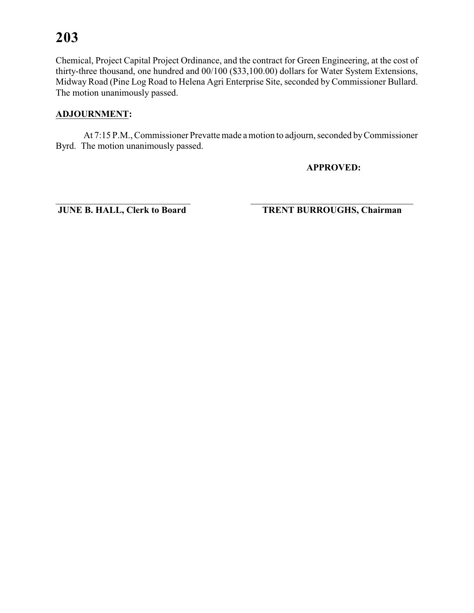Chemical, Project Capital Project Ordinance, and the contract for Green Engineering, at the cost of thirty-three thousand, one hundred and 00/100 (\$33,100.00) dollars for Water System Extensions, Midway Road (Pine Log Road to Helena Agri Enterprise Site, seconded by Commissioner Bullard. The motion unanimously passed.

#### **ADJOURNMENT:**

At 7:15 P.M., Commissioner Prevatte made a motion to adjourn, seconded by Commissioner Byrd. The motion unanimously passed.

\_\_\_\_\_\_\_\_\_\_\_\_\_\_\_\_\_\_\_\_\_\_\_\_\_\_\_\_\_ \_\_\_\_\_\_\_\_\_\_\_\_\_\_\_\_\_\_\_\_\_\_\_\_\_\_\_\_\_\_\_\_\_\_\_

**APPROVED:**

**JUNE B. HALL, Clerk to Board TRENT BURROUGHS, Chairman**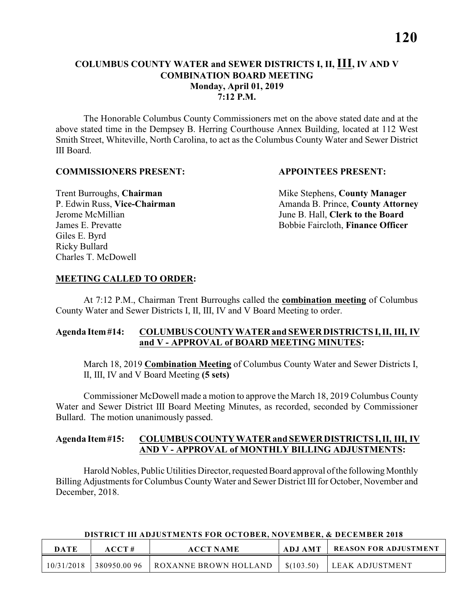#### **COLUMBUS COUNTY WATER and SEWER DISTRICTS I, II, III, IV AND V COMBINATION BOARD MEETING Monday, April 01, 2019 7:12 P.M.**

The Honorable Columbus County Commissioners met on the above stated date and at the above stated time in the Dempsey B. Herring Courthouse Annex Building, located at 112 West Smith Street, Whiteville, North Carolina, to act as the Columbus County Water and Sewer District III Board.

#### **COMMISSIONERS PRESENT: APPOINTEES PRESENT:**

Giles E. Byrd Ricky Bullard Charles T. McDowell

**Trent Burroughs, Chairman** Mike Stephens, **County Manager** P. Edwin Russ, **Vice-Chairman** Amanda B. Prince, **County Attorney** Jerome McMillian June B. Hall, **Clerk to the Board** James E. Prevatte Bobbie Faircloth, **Finance Officer**

#### **MEETING CALLED TO ORDER:**

At 7:12 P.M., Chairman Trent Burroughs called the **combination meeting** of Columbus County Water and Sewer Districts I, II, III, IV and V Board Meeting to order.

#### **Agenda Item #14: COLUMBUS COUNTY WATER and SEWER DISTRICTS I, II, III, IV and V - APPROVAL of BOARD MEETING MINUTES:**

March 18, 2019 **Combination Meeting** of Columbus County Water and Sewer Districts I, II, III, IV and V Board Meeting **(5 sets)**

Commissioner McDowell made a motion to approve the March 18, 2019 Columbus County Water and Sewer District III Board Meeting Minutes, as recorded, seconded by Commissioner Bullard. The motion unanimously passed.

#### **Agenda Item #15: COLUMBUS COUNTY WATER and SEWER DISTRICTS I, II, III, IV AND V - APPROVAL of MONTHLY BILLING ADJUSTMENTS:**

Harold Nobles, Public Utilities Director, requested Board approval ofthe following Monthly Billing Adjustments for Columbus County Water and Sewer District III for October, November and December, 2018.

#### **DISTRICT III ADJUSTMENTS FOR OCTOBER, NOVEMBER, & DECEMBER 2018**

| DATE       | ACCT#       | <b>ACCT NAME</b>      | <b>ADJ AMT</b> | <b>REASON FOR ADJUSTMENT</b> |
|------------|-------------|-----------------------|----------------|------------------------------|
| 10/31/2018 | 380950.0096 | ROXANNE BROWN HOLLAND | \$(103.50)     | LEAK ADJUSTMENT              |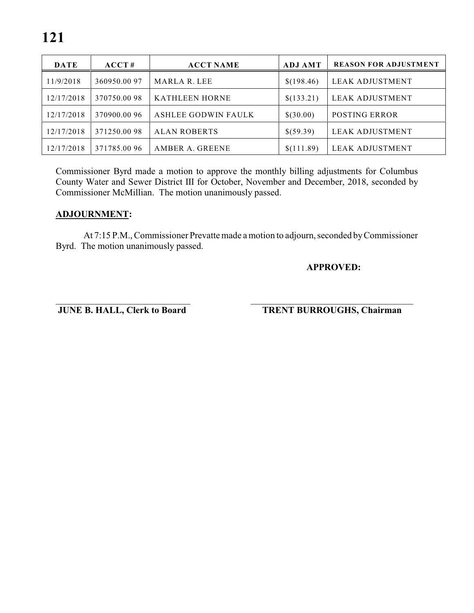| <b>DATE</b> | ACCT#       | <b>ACCT NAME</b>      | <b>ADJ AMT</b> | <b>REASON FOR ADJUSTMENT</b> |
|-------------|-------------|-----------------------|----------------|------------------------------|
| 11/9/2018   | 360950.0097 | MARLA R. LEE          | \$(198.46)     | LEAK ADJUSTMENT              |
| 12/17/2018  | 370750.0098 | <b>KATHLEEN HORNE</b> | \$(133.21)     | LEAK ADJUSTMENT              |
| 12/17/2018  | 370900.0096 | ASHLEE GODWIN FAULK   | \$(30.00)      | <b>POSTING ERROR</b>         |
| 12/17/2018  | 371250.0098 | <b>ALAN ROBERTS</b>   | \$(59.39)      | LEAK ADJUSTMENT              |
| 12/17/2018  | 371785.0096 | AMBER A. GREENE       | \$(111.89)     | <b>LEAK ADJUSTMENT</b>       |

Commissioner Byrd made a motion to approve the monthly billing adjustments for Columbus County Water and Sewer District III for October, November and December, 2018, seconded by Commissioner McMillian. The motion unanimously passed.

#### **ADJOURNMENT:**

At 7:15 P.M., Commissioner Prevatte made a motion to adjourn, seconded by Commissioner Byrd. The motion unanimously passed.

\_\_\_\_\_\_\_\_\_\_\_\_\_\_\_\_\_\_\_\_\_\_\_\_\_\_\_\_\_ \_\_\_\_\_\_\_\_\_\_\_\_\_\_\_\_\_\_\_\_\_\_\_\_\_\_\_\_\_\_\_\_\_\_\_

#### **APPROVED:**

**JUNE B. HALL, Clerk to Board TRENT BURROUGHS, Chairman**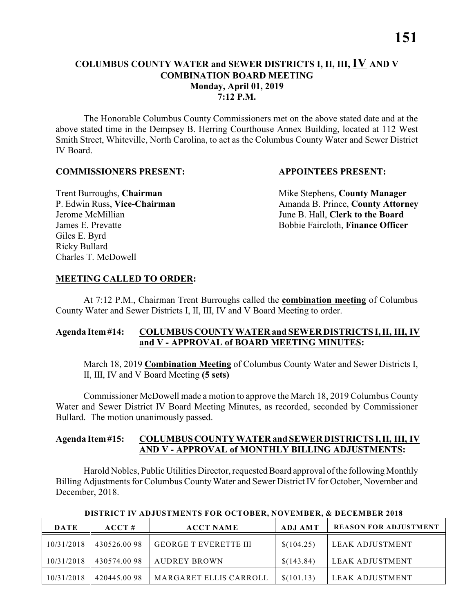**7:12 P.M.**

The Honorable Columbus County Commissioners met on the above stated date and at the above stated time in the Dempsey B. Herring Courthouse Annex Building, located at 112 West Smith Street, Whiteville, North Carolina, to act as the Columbus County Water and Sewer District IV Board.

#### **COMMISSIONERS PRESENT: APPOINTEES PRESENT:**

Giles E. Byrd Ricky Bullard Charles T. McDowell

**Trent Burroughs, Chairman** Mike Stephens, **County Manager** P. Edwin Russ, **Vice-Chairman** Amanda B. Prince, **County Attorney** Jerome McMillian June B. Hall, **Clerk to the Board** James E. Prevatte Bobbie Faircloth, **Finance Officer**

#### **MEETING CALLED TO ORDER:**

At 7:12 P.M., Chairman Trent Burroughs called the **combination meeting** of Columbus County Water and Sewer Districts I, II, III, IV and V Board Meeting to order.

#### **Agenda Item #14: COLUMBUS COUNTY WATER and SEWER DISTRICTS I, II, III, IV and V - APPROVAL of BOARD MEETING MINUTES:**

March 18, 2019 **Combination Meeting** of Columbus County Water and Sewer Districts I, II, III, IV and V Board Meeting **(5 sets)**

Commissioner McDowell made a motion to approve the March 18, 2019 Columbus County Water and Sewer District IV Board Meeting Minutes, as recorded, seconded by Commissioner Bullard. The motion unanimously passed.

#### **Agenda Item #15: COLUMBUS COUNTY WATER and SEWER DISTRICTS I, II, III, IV AND V - APPROVAL of MONTHLY BILLING ADJUSTMENTS:**

Harold Nobles, Public Utilities Director, requested Board approval ofthe following Monthly Billing Adjustments for Columbus County Water and Sewer District IV for October, November and December, 2018.

| <b>DATE</b> | $\bf ACCT#$ | <b>ACCT NAME</b>              | <b>ADJ AMT</b> | <b>REASON FOR ADJUSTMENT</b> |
|-------------|-------------|-------------------------------|----------------|------------------------------|
| 10/31/2018  | 430526.0098 | <b>GEORGE T EVERETTE III</b>  | \$(104.25)     | LEAK ADJUSTMENT              |
| 10/31/2018  | 430574.0098 | AUDREY BROWN                  | \$(143.84)     | LEAK ADJUSTMENT              |
| 10/31/2018  | 420445.0098 | <b>MARGARET ELLIS CARROLL</b> | \$(101.13)     | LEAK ADJUSTMENT              |

 **DISTRICT IV ADJUSTMENTS FOR OCTOBER, NOVEMBER, & DECEMBER 2018**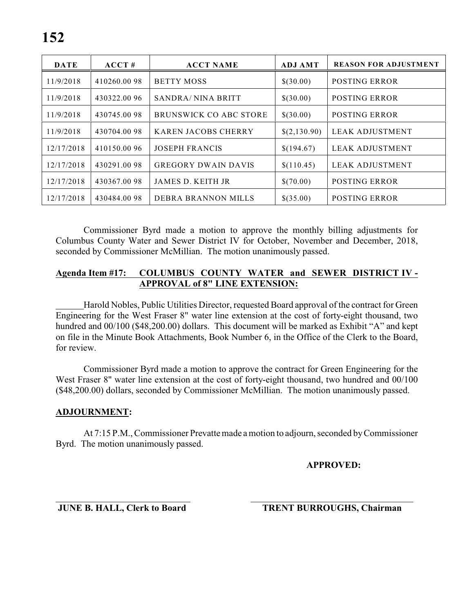| <b>DATE</b> | ACCT#       | <b>ACCT NAME</b>              | <b>ADJ AMT</b> | <b>REASON FOR ADJUSTMENT</b> |
|-------------|-------------|-------------------------------|----------------|------------------------------|
| 11/9/2018   | 410260.0098 | <b>BETTY MOSS</b>             | \$(30.00)      | <b>POSTING ERROR</b>         |
| 11/9/2018   | 430322.0096 | SANDRA/NINA BRITT             | \$(30.00)      | <b>POSTING ERROR</b>         |
| 11/9/2018   | 430745.0098 | <b>BRUNSWICK CO ABC STORE</b> | \$(30.00)      | POSTING ERROR                |
| 11/9/2018   | 430704.0098 | <b>KAREN JACOBS CHERRY</b>    | \$(2,130.90)   | <b>LEAK ADJUSTMENT</b>       |
| 12/17/2018  | 410150.0096 | <b>JOSEPH FRANCIS</b>         | \$(194.67)     | <b>LEAK ADJUSTMENT</b>       |
| 12/17/2018  | 430291.0098 | <b>GREGORY DWAIN DAVIS</b>    | \$(110.45)     | <b>LEAK ADJUSTMENT</b>       |
| 12/17/2018  | 430367.0098 | JAMES D. KEITH JR             | \$(70.00)      | <b>POSTING ERROR</b>         |
| 12/17/2018  | 430484.0098 | DEBRA BRANNON MILLS           | \$(35.00)      | POSTING ERROR                |

Commissioner Byrd made a motion to approve the monthly billing adjustments for Columbus County Water and Sewer District IV for October, November and December, 2018, seconded by Commissioner McMillian. The motion unanimously passed.

#### **Agenda Item #17: COLUMBUS COUNTY WATER and SEWER DISTRICT IV - APPROVAL of 8" LINE EXTENSION:**

Harold Nobles, Public Utilities Director, requested Board approval of the contract for Green Engineering for the West Fraser 8" water line extension at the cost of forty-eight thousand, two hundred and  $00/100$  (\$48,200.00) dollars. This document will be marked as Exhibit "A" and kept on file in the Minute Book Attachments, Book Number 6, in the Office of the Clerk to the Board, for review.

Commissioner Byrd made a motion to approve the contract for Green Engineering for the West Fraser 8" water line extension at the cost of forty-eight thousand, two hundred and 00/100 (\$48,200.00) dollars, seconded by Commissioner McMillian. The motion unanimously passed.

#### **ADJOURNMENT:**

At 7:15 P.M., Commissioner Prevatte made a motion to adjourn, seconded by Commissioner Byrd. The motion unanimously passed.

**APPROVED:**

\_\_\_\_\_\_\_\_\_\_\_\_\_\_\_\_\_\_\_\_\_\_\_\_\_\_\_\_\_ \_\_\_\_\_\_\_\_\_\_\_\_\_\_\_\_\_\_\_\_\_\_\_\_\_\_\_\_\_\_\_\_\_\_\_

**JUNE B. HALL, Clerk to Board TRENT BURROUGHS, Chairman**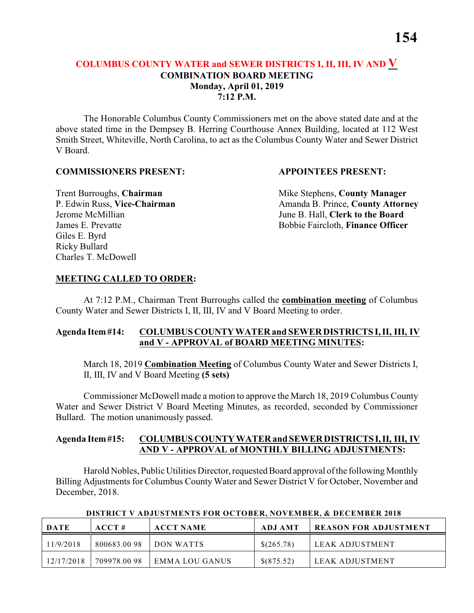#### **COLUMBUS COUNTY WATER and SEWER DISTRICTS I, II, III, IV AND V COMBINATION BOARD MEETING Monday, April 01, 2019 7:12 P.M.**

The Honorable Columbus County Commissioners met on the above stated date and at the above stated time in the Dempsey B. Herring Courthouse Annex Building, located at 112 West Smith Street, Whiteville, North Carolina, to act as the Columbus County Water and Sewer District V Board.

#### **COMMISSIONERS PRESENT: APPOINTEES PRESENT:**

Giles E. Byrd Ricky Bullard Charles T. McDowell

**Trent Burroughs, Chairman** Mike Stephens, **County Manager** P. Edwin Russ, **Vice-Chairman** Amanda B. Prince, **County Attorney** Jerome McMillian June B. Hall, **Clerk to the Board** James E. Prevatte Bobbie Faircloth, **Finance Officer**

#### **MEETING CALLED TO ORDER:**

At 7:12 P.M., Chairman Trent Burroughs called the **combination meeting** of Columbus County Water and Sewer Districts I, II, III, IV and V Board Meeting to order.

#### **Agenda Item #14: COLUMBUS COUNTY WATER and SEWER DISTRICTS I, II, III, IV and V - APPROVAL of BOARD MEETING MINUTES:**

March 18, 2019 **Combination Meeting** of Columbus County Water and Sewer Districts I, II, III, IV and V Board Meeting **(5 sets)**

Commissioner McDowell made a motion to approve the March 18, 2019 Columbus County Water and Sewer District V Board Meeting Minutes, as recorded, seconded by Commissioner Bullard. The motion unanimously passed.

#### **Agenda Item #15: COLUMBUS COUNTY WATER and SEWER DISTRICTS I, II, III, IV AND V - APPROVAL of MONTHLY BILLING ADJUSTMENTS:**

Harold Nobles, Public Utilities Director, requested Board approval ofthe following Monthly Billing Adjustments for Columbus County Water and Sewer District V for October, November and December, 2018.

| <b>DATE</b> | ACCT#       | <b>ACCT NAME</b> | ADJ AMT    | REASON FOR ADJUSTMENT |
|-------------|-------------|------------------|------------|-----------------------|
| 11/9/2018   | 800683.0098 | DON WATTS        | \$(265.78) | LEAK ADJUSTMENT       |
| 12/17/2018  | 709978.0098 | EMMA LOU GANUS   | \$(875.52) | LEAK ADJUSTMENT       |

 **DISTRICT V ADJUSTMENTS FOR OCTOBER, NOVEMBER, & DECEMBER 2018**